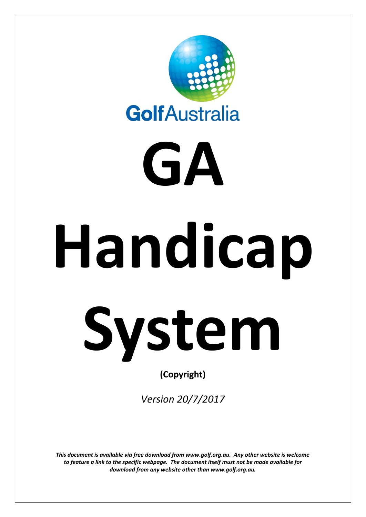

# **GA Handicap System (Copyright)**

*Version 20/7/2017*

*This document is available via free download from www.golf.org.au. Any other website is welcome to feature a link to the specific webpage. The document itself must not be made available for download from any website other than www.golf.org.au.*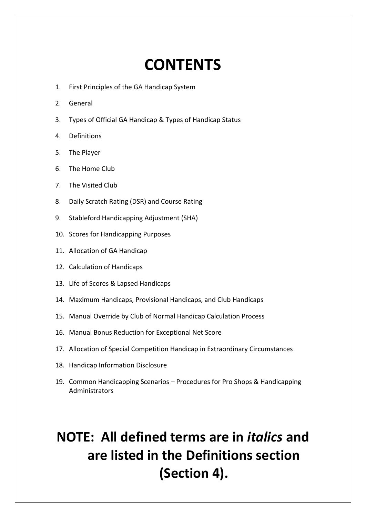# **CONTENTS**

- 1. First Principles of the GA Handicap System
- 2. General
- 3. Types of Official GA Handicap & Types of Handicap Status
- 4. Definitions
- 5. The Player
- 6. The Home Club
- 7. The Visited Club
- 8. Daily Scratch Rating (DSR) and Course Rating
- 9. Stableford Handicapping Adjustment (SHA)
- 10. Scores for Handicapping Purposes
- 11. Allocation of GA Handicap
- 12. Calculation of Handicaps
- 13. Life of Scores & Lapsed Handicaps
- 14. Maximum Handicaps, Provisional Handicaps, and Club Handicaps
- 15. Manual Override by Club of Normal Handicap Calculation Process
- 16. Manual Bonus Reduction for Exceptional Net Score
- 17. Allocation of Special Competition Handicap in Extraordinary Circumstances
- 18. Handicap Information Disclosure
- 19. Common Handicapping Scenarios Procedures for Pro Shops & Handicapping Administrators

# **NOTE: All defined terms are in** *italics* **and are listed in the Definitions section (Section 4).**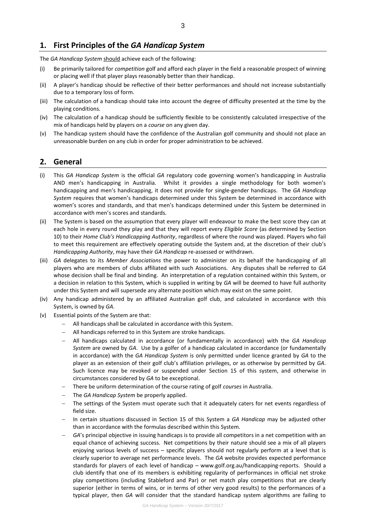# **1. First Principles of the** *GA Handicap System*

The *GA Handicap System* should achieve each of the following:

- (i) Be primarily tailored for *competition* golf and afford each player in the field a reasonable prospect of winning or placing well if that player plays reasonably better than their handicap.
- (ii) A player's handicap should be reflective of their better performances and should not increase substantially due to a temporary loss of form.
- (iii) The calculation of a handicap should take into account the degree of difficulty presented at the time by the playing conditions.
- (iv) The calculation of a handicap should be sufficiently flexible to be consistently calculated irrespective of the mix of handicaps held by players on a *course* on any given day.
- (v) The handicap system should have the confidence of the Australian golf community and should not place an unreasonable burden on any club in order for proper administration to be achieved.

# **2. General**

- (i) This *GA Handicap System* is the official *GA* regulatory code governing women's handicapping in Australia AND men's handicapping in Australia. Whilst it provides a single methodology for both women's handicapping and men's handicapping, it does not provide for single-gender handicaps. The *GA Handicap System* requires that women's handicaps determined under this System be determined in accordance with women's scores and standards, and that men's handicaps determined under this System be determined in accordance with men's scores and standards.
- (ii) The System is based on the assumption that every player will endeavour to make the best score they can at each hole in every round they play and that they will report every *Eligible Score* (as determined by Section 10) to their *Home Club's Handicapping Authority*, regardless of where the round was played. Players who fail to meet this requirement are effectively operating outside the System and, at the discretion of their club's *Handicapping Authority*, may have their *GA Handicap* re-assessed or withdrawn.
- (iii) *GA* delegates to its *Member Associations* the power to administer on its behalf the handicapping of all players who are members of clubs affiliated with such Associations. Any disputes shall be referred to *GA* whose decision shall be final and binding. An interpretation of a regulation contained within this System, or a decision in relation to this System, which is supplied in writing by *GA* will be deemed to have full authority under this System and will supersede any alternate position which may exist on the same point.
- (iv) Any handicap administered by an affiliated Australian golf club, and calculated in accordance with this System, is owned by *GA*.
- (v) Essential points of the System are that:
	- All handicaps shall be calculated in accordance with this System.
	- All handicaps referred to in this System are stroke handicaps.
	- All handicaps calculated in accordance (or fundamentally in accordance) with the *GA Handicap System* are owned by *GA*. Use by a golfer of a handicap calculated in accordance (or fundamentally in accordance) with the *GA Handicap System* is only permitted under licence granted by *GA* to the player as an extension of their golf club's affiliation privileges, or as otherwise by permitted by *GA*. Such licence may be revoked or suspended under Section 15 of this system, and otherwise in circumstances considered by *GA* to be exceptional.
	- There be uniform determination of the course rating of golf *courses* in Australia.
	- The *GA Handicap System* be properly applied.
	- The settings of the System must operate such that it adequately caters for net events regardless of field size.
	- In certain situations discussed in Section 15 of this System a *GA Handicap* may be adjusted other than in accordance with the formulas described within this System.
	- *GA*'s principal objective in issuing handicaps is to provide all competitors in a net competition with an equal chance of achieving success. Net competitions by their nature should see a mix of all players enjoying various levels of success – specific players should not regularly perform at a level that is clearly superior to average net performance levels. The *GA* website provides expected performance standards for players of each level of handicap – [www.golf.org.au/handicapping-reports.](http://www.golf.org.au/handicapping-reports) Should a club identify that one of its members is exhibiting regularity of performances in official net stroke play competitions (including Stableford and Par) or net match play competitions that are clearly superior (either in terms of wins, or in terms of other very good results) to the performances of a typical player, then *GA* will consider that the standard handicap system algorithms are failing to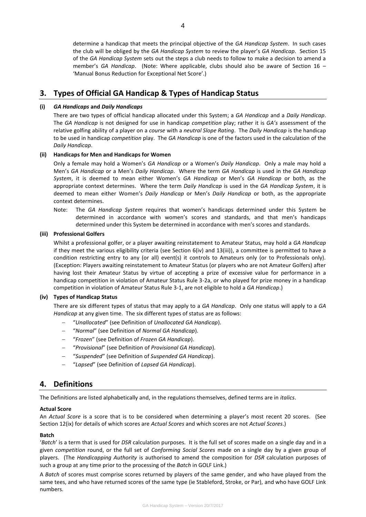determine a handicap that meets the principal objective of the *GA Handicap System*. In such cases the club will be obliged by the *GA Handicap System* to review the player's *GA Handicap*. Section 15 of the *GA Handicap System* sets out the steps a club needs to follow to make a decision to amend a member's *GA Handicap*. (Note: Where applicable, clubs should also be aware of Section 16 – 'Manual Bonus Reduction for Exceptional Net Score'.)

# **3. Types of Official GA Handicap & Types of Handicap Status**

# **(i)** *GA Handicaps* **and** *Daily Handicaps*

There are two types of official handicap allocated under this System; a *GA Handicap* and a *Daily Handicap*. The *GA Handicap* is not designed for use in handicap *competition* play; rather it is *GA's* assessment of the relative golfing ability of a player on a *course* with a *neutral Slope Rating*. The *Daily Handicap* is the handicap to be used in handicap *competition* play. The *GA Handicap* is one of the factors used in the calculation of the *Daily Handicap*.

# **(ii) Handicaps for Men and Handicaps for Women**

Only a female may hold a Women's *GA Handicap* or a Women's *Daily Handicap*. Only a male may hold a Men's *GA Handicap* or a Men's *Daily Handicap*. Where the term *GA Handicap* is used in the *GA Handicap System*, it is deemed to mean either Women's *GA Handicap* or Men's *GA Handicap* or both, as the appropriate context determines. Where the term *Daily Handicap* is used in the *GA Handicap System*, it is deemed to mean either Women's *Daily Handicap* or Men's *Daily Handicap* or both, as the appropriate context determines.

Note: The *GA Handicap System* requires that women's handicaps determined under this System be determined in accordance with women's scores and standards, and that men's handicaps determined under this System be determined in accordance with men's scores and standards.

# **(iii) Professional Golfers**

Whilst a professional golfer, or a player awaiting reinstatement to Amateur Status, may hold a *GA Handicap* if they meet the various eligibility criteria (see Section 6(iv) and 13(iii)), a committee is permitted to have a condition restricting entry to any (or all) event(s) it controls to Amateurs only (or to Professionals only). (Exception: Players awaiting reinstatement to Amateur Status (or players who are not Amateur Golfers) after having lost their Amateur Status by virtue of accepting a prize of excessive value for performance in a handicap competition in violation of Amateur Status Rule 3-2a, or who played for prize money in a handicap competition in violation of Amateur Status Rule 3-1, are not eligible to hold a *GA Handicap*.)

# **(iv) Types of Handicap Status**

There are six different types of status that may apply to a *GA Handicap*. Only one status will apply to a *GA Handicap* at any given time. The six different types of status are as follows:

- "*Unallocated*" (see Definition of *Unallocated GA Handicap*).
- "*Normal*" (see Definition of *Normal GA Handicap*).
- "*Frozen*" (see Definition of *Frozen GA Handicap*).
- "*Provisional*" (see Definition of *Provisional GA Handicap*).
- "*Suspended*" (see Definition of *Suspended GA Handicap*).
- "*Lapsed*" (see Definition of *Lapsed GA Handicap*).

# **4. Definitions**

The Definitions are listed alphabetically and, in the regulations themselves, defined terms are in *italics*.

# **Actual Score**

An *Actual Score* is a score that is to be considered when determining a player's most recent 20 scores. (See Section 12(ix) for details of which scores are *Actual Scores* and which scores are not *Actual Scores*.)

# **Batch**

'*Batch*' is a term that is used for *DSR* calculation purposes. It is the full set of scores made on a single day and in a given *competition* round, or the full set of *Conforming Social Scores* made on a single day by a given group of players. (The *Handicapping Authority* is authorised to amend the composition for *DSR* calculation purposes of such a group at any time prior to the processing of the *Batch* in GOLF Link.)

A *Batch* of scores must comprise scores returned by players of the same gender, and who have played from the same tees, and who have returned scores of the same type (ie Stableford, Stroke, or Par), and who have GOLF Link numbers.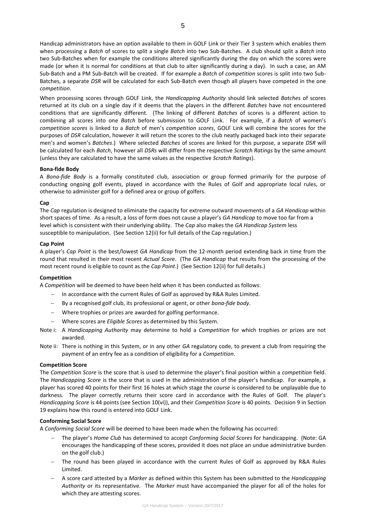5

Handicap administrators have an option available to them in GOLF Link or their Tier 3 system which enables them when processing a *Batch* of scores to split a single *Batch* into two Sub-Batches. A club should split a *Batch* into two Sub-Batches when for example the conditions altered significantly during the day on which the scores were made (or when it is normal for conditions at that club to alter significantly during a day). In such a case, an AM Sub-Batch and a PM Sub-Batch will be created. If for example a *Batch* of *competition* scores is split into two Sub-Batches, a separate *DSR* will be calculated for each Sub-Batch even though all players have competed in the one *competition*.

When processing scores through GOLF Link, the *Handicapping Authority* should link selected *Batches* of scores returned at its club on a single day if it deems that the players in the different *Batches* have not encountered conditions that are significantly different. (The linking of different *Batches* of scores is a different action to combining all scores into one *Batch* before submission to GOLF Link. For example, if a *Batch* of women's *competition scores* is linked to a *Batch* of men's *competition scores*, GOLF Link will combine the scores for the purposes of *DSR* calculation, however it will return the scores to the club neatly packaged back into their separate men's and women's *Batches*.) Where selected *Batches* of scores are linked for this purpose, a separate *DSR* will be calculated for each *Batch*, however all *DSRs* will differ from the respective *Scratch Ratings* by the same amount (unless they are calculated to have the same values as the respective *Scratch Ratings*).

# **Bona-fide Body**

A *Bona-fide Body* is a formally constituted club, association or group formed primarily for the purpose of conducting ongoing golf events, played in accordance with the Rules of Golf and appropriate local rules, or otherwise to administer golf for a defined area or group of golfers.

# **Cap**

The *Cap* regulation is designed to eliminate the capacity for extreme outward movements of a *GA Handicap* within short spaces of time. As a result, a loss of form does not cause a player's *GA Handicap* to move too far from a level which is consistent with their underlying ability. The *Cap* also makes the *GA Handicap System* less susceptible to manipulation. (See Section 12(ii) for full details of the Cap regulation.)

# **Cap Point**

A player's *Cap Point* is the best/lowest *GA Handicap* from the 12-month period extending back in time from the round that resulted in their most recent *Actual Score*. (The *GA Handicap* that results from the processing of the most recent round is eligible to count as the *Cap Point*.) (See Section 12(ii) for full details.)

# **Competition**

A *Competition* will be deemed to have been held when it has been conducted as follows:

- In accordance with the current Rules of Golf as approved by R&A Rules Limited.
- By a recognised golf club, its professional or agent, or other *bona-fide body*.
- Where trophies or prizes are awarded for golfing performance.
- Where scores are *Eligible Scores* as determined by this System.
- Note i: A *Handicapping Authority* may determine to hold a *Competition* for which trophies or prizes are not awarded.
- Note ii: There is nothing in this System, or in any other *GA* regulatory code, to prevent a club from requiring the payment of an entry fee as a condition of eligibility for a *Competition*.

# **Competition Score**

The *Competition Score* is the score that is used to determine the player's final position within a *competition* field. The *Handicapping Score* is the score that is used in the administration of the player's handicap. For example, a player has scored 40 points for their first 16 holes at which stage the *course* is considered to be unplayable due to darkness. The player correctly returns their score card in accordance with the Rules of Golf. The player's *Handicapping Score* is 44 points (see Section 10(vi)), and their *Competition Score* is 40 points. Decision 9 in Section 19 explains how this round is entered into GOLF Link.

# **Conforming Social Score**

A *Conforming Social Score* will be deemed to have been made when the following has occurred:

- The player's *Home Club* has determined to accept *Conforming Social Scores* for handicapping. (Note: GA encourages the handicapping of these scores, provided it does not place an undue administrative burden on the golf club.)
- The round has been played in accordance with the current Rules of Golf as approved by R&A Rules Limited.
- A score card attested by a *Marker* as defined within this System has been submitted to the *Handicapping Authority* or its representative. The *Marker* must have accompanied the player for all of the holes for which they are attesting scores.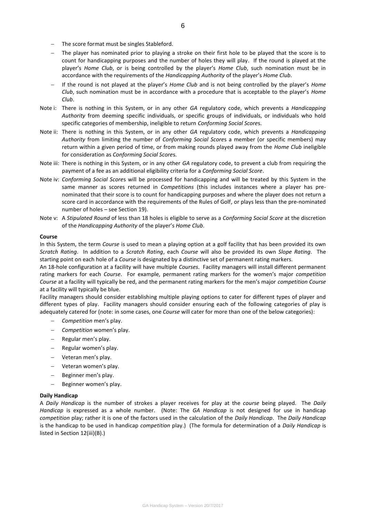- The score format must be singles Stableford.
- The player has nominated prior to playing a stroke on their first hole to be played that the score is to count for handicapping purposes and the number of holes they will play. If the round is played at the player's *Home Club*, or is being controlled by the player's *Home Club*, such nomination must be in accordance with the requirements of the *Handicapping Authority* of the player's *Home Club*.
- If the round is not played at the player's *Home Club* and is not being controlled by the player's *Home Club*, such nomination must be in accordance with a procedure that is acceptable to the player's *Home Club*.
- Note i: There is nothing in this System, or in any other *GA* regulatory code, which prevents a *Handicapping Authority* from deeming specific individuals, or specific groups of individuals, or individuals who hold specific categories of membership, ineligible to return *Conforming Social Score*s.
- Note ii: There is nothing in this System, or in any other *GA* regulatory code, which prevents a *Handicapping Authority* from limiting the number of *Conforming Social Score*s a member (or specific members) may return within a given period of time, or from making rounds played away from the *Home Club* ineligible for consideration as *Conforming Social Score*s.
- Note iii: There is nothing in this System, or in any other *GA* regulatory code, to prevent a club from requiring the payment of a fee as an additional eligibility criteria for a *Conforming Social Score*.
- Note iv: *Conforming Social Score*s will be processed for handicapping and will be treated by this System in the same manner as scores returned in *Competitions* (this includes instances where a player has prenominated that their score is to count for handicapping purposes and where the player does not return a score card in accordance with the requirements of the Rules of Golf, or plays less than the pre-nominated number of holes – see Section 19).
- Note v: A *Stipulated Round* of less than 18 holes is eligible to serve as a *Conforming Social Score* at the discretion of the *Handicapping Authority* of the player's *Home Club*.

# **Course**

In this System, the term *Course* is used to mean a playing option at a golf facility that has been provided its own *Scratch Rating*. In addition to a *Scratch Rating*, each *Course* will also be provided its own *Slope Rating*. The starting point on each hole of a *Course* is designated by a distinctive set of permanent rating markers.

An 18-hole configuration at a facility will have multiple *Courses*. Facility managers will install different permanent rating markers for each *Course*. For example, permanent rating markers for the women's major *competition Course* at a facility will typically be red, and the permanent rating markers for the men's major *competition Course* at a facility will typically be blue.

Facility managers should consider establishing multiple playing options to cater for different types of player and different types of play. Facility managers should consider ensuring each of the following categories of play is adequately catered for (note: in some cases, one *Course* will cater for more than one of the below categories):

- *Competition* men's play.
- *Competition* women's play.
- Regular men's play.
- Regular women's play.
- Veteran men's play.
- Veteran women's play.
- Beginner men's play.
- Beginner women's play.

# **Daily Handicap**

A *Daily Handicap* is the number of strokes a player receives for play at the *course* being played. The *Daily Handicap* is expressed as a whole number. (Note: The *GA Handicap* is not designed for use in handicap *competition* play; rather it is one of the factors used in the calculation of the *Daily Handicap*. The *Daily Handicap* is the handicap to be used in handicap *competition* play.) (The formula for determination of a *Daily Handicap* is listed in Section 12(iii)(B).)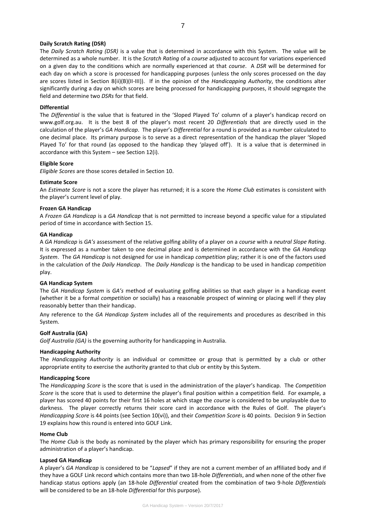# **Daily Scratch Rating (DSR)**

The *Daily Scratch Rating (DSR)* is a value that is determined in accordance with this System. The value will be determined as a whole number. It is the *Scratch Rating* of a *course* adjusted to account for variations experienced on a given day to the conditions which are normally experienced at that *course*. A *DSR* will be determined for each day on which a score is processed for handicapping purposes (unless the only scores processed on the day are scores listed in Section 8(ii)(B)(II-III)). If in the opinion of the *Handicapping Authority*, the conditions alter significantly during a day on which scores are being processed for handicapping purposes, it should segregate the field and determine two *DSRs* for that field.

# **Differential**

The *Differential* is the value that is featured in the 'Sloped Played To' column of a player's handicap record on www.golf.org.au. It is the best 8 of the player's most recent 20 *Differentials* that are directly used in the calculation of the player's *GA Handicap*. The player's *Differential* for a round is provided as a number calculated to one decimal place. Its primary purpose is to serve as a direct representation of the handicap the player 'Sloped Played To' for that round (as opposed to the handicap they 'played off'). It is a value that is determined in accordance with this System – see Section 12(i).

### **Eligible Score**

*Eligible Scores* are those scores detailed in Section 10.

# **Estimate Score**

An *Estimate Score* is not a score the player has returned; it is a score the *Home Club* estimates is consistent with the player's current level of play.

### **Frozen GA Handicap**

A *Frozen GA Handicap* is a *GA Handicap* that is not permitted to increase beyond a specific value for a stipulated period of time in accordance with Section 15.

### **GA Handicap**

A *GA Handicap* is *GA's* assessment of the relative golfing ability of a player on a *course* with a *neutral Slope Rating*. It is expressed as a number taken to one decimal place and is determined in accordance with the *GA Handicap System*. The *GA Handicap* is not designed for use in handicap *competition* play; rather it is one of the factors used in the calculation of the *Daily Handicap*. The *Daily Handicap* is the handicap to be used in handicap *competition* play.

# **GA Handicap System**

The *GA Handicap System* is *GA's* method of evaluating golfing abilities so that each player in a handicap event (whether it be a formal *competition* or socially) has a reasonable prospect of winning or placing well if they play reasonably better than their handicap.

Any reference to the *GA Handicap System* includes all of the requirements and procedures as described in this System.

# **Golf Australia (GA)**

*Golf Australia (GA)* is the governing authority for handicapping in Australia.

### **Handicapping Authority**

The *Handicapping Authority* is an individual or committee or group that is permitted by a club or other appropriate entity to exercise the authority granted to that club or entity by this System.

### **Handicapping Score**

The *Handicapping Score* is the score that is used in the administration of the player's handicap. The *Competition Score* is the score that is used to determine the player's final position within a competition field. For example, a player has scored 40 points for their first 16 holes at which stage the *course* is considered to be unplayable due to darkness. The player correctly returns their score card in accordance with the Rules of Golf. The player's *Handicapping Score* is 44 points (see Section 10(vi)), and their *Competition Score* is 40 points. Decision 9 in Section 19 explains how this round is entered into GOLF Link.

# **Home Club**

The *Home Club* is the body as nominated by the player which has primary responsibility for ensuring the proper administration of a player's handicap.

# **Lapsed GA Handicap**

A player's *GA Handicap* is considered to be "*Lapsed*" if they are not a current member of an affiliated body and if they have a GOLF Link record which contains more than two 18-hole *Differentials*, and when none of the other five handicap status options apply (an 18-hole *Differential* created from the combination of two 9-hole *Differentials* will be considered to be an 18-hole *Differential* for this purpose).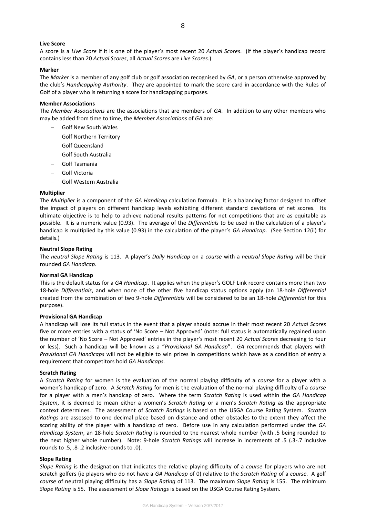# **Live Score**

A score is a *Live Score* if it is one of the player's most recent 20 *Actual Scores*. (If the player's handicap record contains less than 20 *Actual Scores*, all *Actual Scores* are *Live Scores*.)

# **Marker**

The *Marker* is a member of any golf club or golf association recognised by *GA*, or a person otherwise approved by the club's *Handicapping Authority*. They are appointed to mark the score card in accordance with the Rules of Golf of a player who is returning a score for handicapping purposes.

# **Member Associations**

The *Member Associations* are the associations that are members of *GA*. In addition to any other members who may be added from time to time, the *Member Associations* of *GA* are:

- Golf New South Wales
- Golf Northern Territory
- Golf Queensland
- Golf South Australia
- Golf Tasmania
- Golf Victoria
- Golf Western Australia

# **Multiplier**

The *Multiplier* is a component of the *GA Handicap* calculation formula. It is a balancing factor designed to offset the impact of players on different handicap levels exhibiting different standard deviations of net scores. Its ultimate objective is to help to achieve national results patterns for net competitions that are as equitable as possible. It is a numeric value (0.93). The average of the *Differentials* to be used in the calculation of a player's handicap is multiplied by this value (0.93) in the calculation of the player's *GA Handicap*. (See Section 12(ii) for details.)

# **Neutral Slope Rating**

The *neutral Slope Rating* is 113. A player's *Daily Handicap* on a *course* with a *neutral Slope Rating* will be their rounded *GA Handicap*.

# **Normal GA Handicap**

This is the default status for a *GA Handicap*. It applies when the player's GOLF Link record contains more than two 18-hole *Differentials*, and when none of the other five handicap status options apply (an 18-hole *Differential* created from the combination of two 9-hole *Differentials* will be considered to be an 18-hole *Differential* for this purpose).

# **Provisional GA Handicap**

A handicap will lose its full status in the event that a player should accrue in their most recent 20 *Actual Scores* five or more entries with a status of 'No Score – Not Approved' (note: full status is automatically regained upon the number of 'No Score – Not Approved' entries in the player's most recent 20 *Actual Scores* decreasing to four or less). Such a handicap will be known as a "*Provisional GA Handicap*". *GA* recommends that players with *Provisional GA Handicaps* will not be eligible to win prizes in competitions which have as a condition of entry a requirement that competitors hold *GA Handicaps*.

# **Scratch Rating**

A *Scratch Rating* for women is the evaluation of the normal playing difficulty of a *course* for a player with a women's handicap of zero. A *Scratch Rating* for men is the evaluation of the normal playing difficulty of a *course* for a player with a men's handicap of zero. Where the term *Scratch Rating* is used within the *GA Handicap System*, it is deemed to mean either a women's *Scratch Rating* or a men's *Scratch Rating* as the appropriate context determines. The assessment of *Scratch Ratings* is based on the USGA Course Rating System. *Scratch Ratings* are assessed to one decimal place based on distance and other obstacles to the extent they affect the scoring ability of the player with a handicap of zero. Before use in any calculation performed under the *GA Handicap System*, an 18-hole *Scratch Rating* is rounded to the nearest whole number (with .5 being rounded to the next higher whole number). Note: 9-hole *Scratch Ratings* will increase in increments of .5 (.3-.7 inclusive rounds to .5, .8-.2 inclusive rounds to .0).

# **Slope Rating**

*Slope Rating* is the designation that indicates the relative playing difficulty of a *course* for players who are not scratch golfers (ie players who do not have a *GA Handicap* of 0) relative to the *Scratch Rating* of a *course*. A golf *course* of neutral playing difficulty has a *Slope Rating* of 113. The maximum *Slope Rating* is 155. The minimum *Slope Rating* is 55. The assessment of *Slope Ratings* is based on the USGA Course Rating System.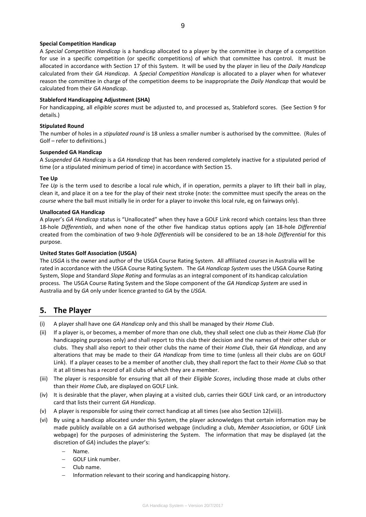# **Special Competition Handicap**

A *Special Competition Handicap* is a handicap allocated to a player by the committee in charge of a competition for use in a specific competition (or specific competitions) of which that committee has control. It must be allocated in accordance with Section 17 of this System. It will be used by the player in lieu of the *Daily Handicap* calculated from their *GA Handicap*. A *Special Competition Handicap* is allocated to a player when for whatever reason the committee in charge of the competition deems to be inappropriate the *Daily Handicap* that would be calculated from their *GA Handicap*.

# **Stableford Handicapping Adjustment (SHA)**

For handicapping, all *eligible scores* must be adjusted to, and processed as, Stableford scores. (See Section 9 for details.)

### **Stipulated Round**

The number of holes in a *stipulated round* is 18 unless a smaller number is authorised by the committee. (Rules of Golf – refer to definitions.)

# **Suspended GA Handicap**

A *Suspended GA Handicap* is a *GA Handicap* that has been rendered completely inactive for a stipulated period of time (or a stipulated minimum period of time) in accordance with Section 15.

### **Tee Up**

*Tee Up* is the term used to describe a local rule which, if in operation, permits a player to lift their ball in play, clean it, and place it on a tee for the play of their next stroke (note: the committee must specify the areas on the *course* where the ball must initially lie in order for a player to invoke this local rule, eg on fairways only).

# **Unallocated GA Handicap**

A player's *GA Handicap* status is "Unallocated" when they have a GOLF Link record which contains less than three 18-hole *Differentials*, and when none of the other five handicap status options apply (an 18-hole *Differential* created from the combination of two 9-hole *Differentials* will be considered to be an 18-hole *Differential* for this purpose.

# **United States Golf Association (USGA)**

The *USGA* is the owner and author of the USGA Course Rating System. All affiliated *courses* in Australia will be rated in accordance with the USGA Course Rating System. The *GA Handicap System* uses the USGA Course Rating System, Slope and Standard *Slope Rating* and formulas as an integral component of its handicap calculation process. The USGA Course Rating System and the Slope component of the *GA Handicap System* are used in Australia and by *GA* only under licence granted to *GA* by the *USGA*.

# **5. The Player**

- (i) A player shall have one *GA Handicap* only and this shall be managed by their *Home Club*.
- (ii) If a player is, or becomes, a member of more than one club, they shall select one club as their *Home Club* (for handicapping purposes only) and shall report to this club their decision and the names of their other club or clubs. They shall also report to their other clubs the name of their *Home Club*, their *GA Handicap*, and any alterations that may be made to their *GA Handicap* from time to time (unless all their clubs are on GOLF Link). If a player ceases to be a member of another club, they shall report the fact to their *Home Club* so that it at all times has a record of all clubs of which they are a member.
- (iii) The player is responsible for ensuring that all of their *Eligible Scores*, including those made at clubs other than their *Home Club*, are displayed on GOLF Link.
- (iv) It is desirable that the player, when playing at a visited club, carries their GOLF Link card, or an introductory card that lists their current *GA Handicap*.
- (v) A player is responsible for using their correct handicap at all times (see also Section 12(viii)).
- (vi) By using a handicap allocated under this System, the player acknowledges that certain information may be made publicly available on a *GA* authorised webpage (including a club, *Member Association*, or GOLF Link webpage) for the purposes of administering the System. The information that may be displayed (at the discretion of *GA*) includes the player's:
	- Name.
	- GOLF Link number.
	- Club name.
	- Information relevant to their scoring and handicapping history.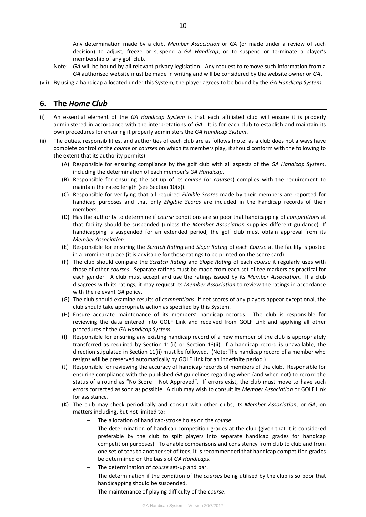- Any determination made by a club, *Member Association* or *GA* (or made under a review of such decision) to adjust, freeze or suspend a *GA Handicap*, or to suspend or terminate a player's membership of any golf club.
- Note: *GA* will be bound by all relevant privacy legislation. Any request to remove such information from a *GA* authorised website must be made in writing and will be considered by the website owner or *GA*.
- (vii) By using a handicap allocated under this System, the player agrees to be bound by the *GA Handicap System*.

# **6. The** *Home Club*

- (i) An essential element of the *[GA Handicap System](http://www.usga.org/workarea/linkit.aspx?linkidentifier=id&itemid=14370#USGAHandicapSystem)* is that each affiliated club will ensure it is properly administered in accordance with the interpretations of *GA*. It is for each club to establish and maintain its own procedures for ensuring it properly administers the *GA Handicap System*.
- (ii) The duties, responsibilities, and authorities of each club are as follows (note: as a club does not always have complete control of the *course* or *courses* on which its members play, it should conform with the following to the extent that its authority permits):
	- (A) Responsible for ensuring compliance by the [golf club](http://www.usga.org/workarea/linkit.aspx?linkidentifier=id&itemid=14370#golfclub) with all aspects of the *[GA Handicap System](http://www.usga.org/workarea/linkit.aspx?linkidentifier=id&itemid=14370#USGAHandicapSystem)*, including the determination of each member's *GA Handicap*.
	- (B) Responsible for ensuring the set-up of its *course* (or *courses*) complies with the requirement to maintain the rated length (see Section 10(x)).
	- (C) Responsible for verifying that all required *Eligible Scores* made by their members are reported for handicap purposes and that only *Eligible Scores* are included in the handicap records of their members.
	- (D) Has the authority to determine if *course* conditions are so poor that handicapping of *competitions* at that facility should be suspended (unless the *Member Association* supplies different guidance). If handicapping is suspended for an extended period, the [golf club](http://www.usga.org/workarea/linkit.aspx?linkidentifier=id&itemid=14370#golfclub) must obtain approval from its *Member Association*.
	- (E) Responsible for ensuring the *Scratch Rating* and *Slope Rating* of each *Course* at the facility is posted in a prominent place (it is advisable for these ratings to be printed on the score card).
	- (F) The club should compare the *Scratch Rating* and *Slope Rating* of each *course* it regularly uses with those of other *courses*. Separate [ratings](http://www.usga.org/workarea/linkit.aspx?linkidentifier=id&itemid=14370#USGACourseRating) must be made from each set of tee markers as practical for each gender. A club must accept and use the [ratings](http://www.usga.org/workarea/linkit.aspx?linkidentifier=id&itemid=14370#USGACourseRating) issued by its *Member Association*. If a club disagrees with its ratings, it may request its *Member Association* to review the ratings in accordance with the relevant *GA* policy.
	- (G) The club should examine results of *competitions*. I[f net scores](http://www.usga.org/workarea/linkit.aspx?linkidentifier=id&itemid=14370#netscore) of any players appear exceptional, the club should take appropriate action as specified by this System.
	- (H) Ensure accurate maintenance of its members' handicap records. The club is responsible for reviewing the data entered into GOLF Link and received from GOLF Link and applying all other procedures of the *GA Handicap System*.
	- (I) Responsible for ensuring any existing [handicap record](http://www.usga.org/workarea/linkit.aspx?linkidentifier=id&itemid=14370#scoringrecord) of a new member of the club is appropriately transferred as required by Section 11(ii) or Section 13(ii). If a handicap record is unavailable, the direction stipulated in Section 11(ii) must be followed. (Note: The handicap record of a member who resigns will be preserved automatically by GOLF Link for an indefinite period.)
	- (J) Responsible for reviewing the accuracy of [handicap records](http://www.usga.org/workarea/linkit.aspx?linkidentifier=id&itemid=14370#scoringrecord) of members of the club. Responsible for ensuring compliance with the published *GA* guidelines regarding when (and when not) to record the status of a round as "No Score – Not Approved". If errors exist, the club must move to have such errors corrected as soon as possible. A club may wish to consult its *Member Association* or GOLF Link for assistance.
	- (K) The [club](http://www.usga.org/workarea/linkit.aspx?linkidentifier=id&itemid=14370#HandicapCommittee) may check periodically and consult with other clubs, its *Member Association*, or *GA*, on matters including, but not limited to:
		- The allocation of handicap-stroke holes on the *course*.
		- The determination of handicap competition grades at the club (given that it is considered preferable by the club to split players into separate handicap grades for handicap competition purposes). To enable comparisons and consistency from club to club and from one set of tees to another set of tees, it is recommended that handicap competition grades be determined on the basis of *GA Handicaps*.
		- The determination of *course* set-up an[d par.](http://www.usga.org/workarea/linkit.aspx?linkidentifier=id&itemid=14370#par)
		- The determination if the condition of the *courses* being utilised by the club is so poor that handicapping should be suspended.
		- The maintenance of playing difficulty of the *course*.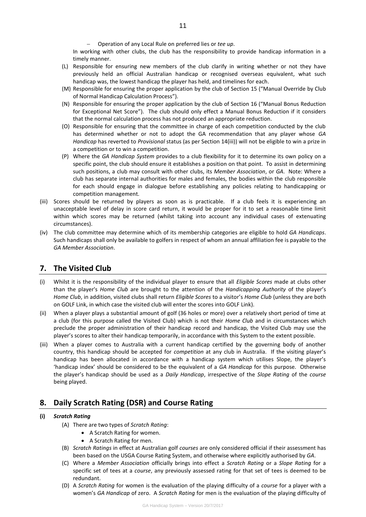Operation of any Local Rule on [preferred lies](http://www.usga.org/workarea/linkit.aspx?linkidentifier=id&itemid=14370#preferredLies) or *tee up*.

In working with other clubs, the [club](http://www.usga.org/workarea/linkit.aspx?linkidentifier=id&itemid=14370#HandicapCommittee) has the responsibility to provide handicap information in a timely manner.

- (L) Responsible for ensuring new members of the club clarify in writing whether or not they have previously held an official Australian handicap or recognised overseas equivalent, what such handicap was, the lowest handicap the player has held, and timelines for each.
- (M) Responsible for ensuring the proper application by the club of Section 15 ("Manual Override by Club of Normal Handicap Calculation Process").
- (N) Responsible for ensuring the proper application by the club of Section 16 ("Manual Bonus Reduction for Exceptional Net Score"). The club should only effect a Manual Bonus Reduction if it considers that the normal calculation process has not produced an appropriate reduction.
- (O) Responsible for ensuring that the committee in charge of each competition conducted by the club has determined whether or not to adopt the GA recommendation that any player whose *GA Handicap* has reverted to *Provisional* status (as per Section 14(iii)) will not be eligible to win a prize in a competition or to win a competition.
- (P) Where the *GA Handicap System* provides to a club flexibility for it to determine its own policy on a specific point, the club should ensure it establishes a position on that point. To assist in determining such positions, a club may consult with other clubs, its *Member Association*, or *GA*. Note: Where a club has separate internal authorities for males and females, the bodies within the club responsible for each should engage in dialogue before establishing any policies relating to handicapping or competition management.
- (iii) Scores should be returned by players as soon as is practicable. If a club feels it is experiencing an unacceptable level of delay in score card return, it would be proper for it to set a reasonable time limit within which scores may be returned (whilst taking into account any individual cases of extenuating circumstances).
- (iv) The club committee may determine which of its membership categories are eligible to hold *GA Handicaps*. Such handicaps shall only be available to golfers in respect of whom an annual affiliation fee is payable to the *GA Member Association*.

# **7. The Visited Club**

- (i) Whilst it is the responsibility of the individual player to ensure that all *Eligible Scores* made at clubs other than the player's *Home Club* are brought to the attention of the *Handicapping Authority* of the player's *Home Club*, in addition, visited clubs shall return *Eligible Scores* to a visitor's *Home Club* (unless they are both on GOLF Link, in which case the visited club will enter the scores into GOLF Link).
- (ii) When a player plays a substantial amount of golf (36 holes or more) over a relatively short period of time at a club (for this purpose called the Visited Club) which is not their *Home Club* and in circumstances which preclude the proper administration of their handicap record and handicap, the Visited Club may use the player's scores to alter their handicap temporarily, in accordance with this System to the extent possible.
- (iii) When a player comes to Australia with a current handicap certified by the governing body of another country, this handicap should be accepted for *competition* at any club in Australia. If the visiting player's handicap has been allocated in accordance with a handicap system which utilises Slope, the player's 'handicap index' should be considered to be the equivalent of a *GA Handicap* for this purpose. Otherwise the player's handicap should be used as a *Daily Handicap*, irrespective of the *Slope Rating* of the *course* being played.

# **8. Daily Scratch Rating (DSR) and Course Rating**

# **(i)** *Scratch Rating*

- (A) There are two types of *Scratch Rating*:
	- A Scratch Rating for women.
	- A Scratch Rating for men.
- (B) *Scratch Ratings* in effect at Australian golf *courses* are only considered official if their assessment has been based on the USGA Course Rating System, and otherwise where explicitly authorised by *GA*.
- (C) Where a *Member Association* officially brings into effect a *Scratch Rating* or a *Slope Rating* for a specific set of tees at a *course*, any previously assessed rating for that set of tees is deemed to be redundant.
- (D) A *Scratch Rating* for women is the evaluation of the playing difficulty of a *course* for a player with a women's *GA Handicap* of zero. A *Scratch Rating* for men is the evaluation of the playing difficulty of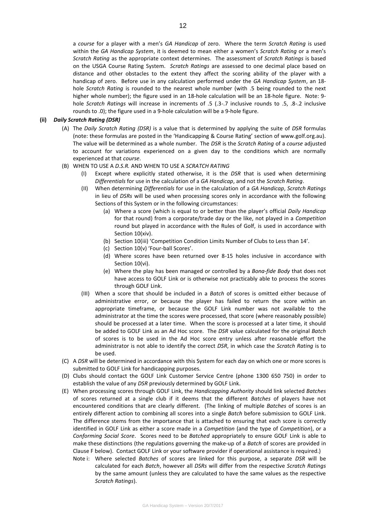a *course* for a player with a men's *GA Handicap* of zero. Where the term *Scratch Rating* is used within the *GA Handicap System*, it is deemed to mean either a women's *Scratch Rating* or a men's *Scratch Rating* as the appropriate context determines. The assessment of *Scratch Ratings* is based on the USGA Course Rating System. *Scratch Ratings* are assessed to one decimal place based on distance and other obstacles to the extent they affect the scoring ability of the player with a handicap of zero. Before use in any calculation performed under the *GA Handicap System*, an 18 hole *Scratch Rating* is rounded to the nearest whole number (with .5 being rounded to the next higher whole number); the figure used in an 18-hole calculation will be an 18-hole figure. Note: 9 hole *Scratch Ratings* will increase in increments of .5 (.3-.7 inclusive rounds to .5, .8-.2 inclusive rounds to .0); the figure used in a 9-hole calculation will be a 9-hole figure.

# **(ii)** *Daily Scratch Rating (DSR)*

- (A) The *Daily Scratch Rating (DSR)* is a value that is determined by applying the suite of *DSR* formulas (note: these formulas are posted in the 'Handicapping & Course Rating' section of www.golf.org.au). The value will be determined as a whole number. The *DSR* is the *Scratch Rating* of a *course* adjusted to account for variations experienced on a given day to the conditions which are normally experienced at that *course*.
- (B) WHEN TO USE A *D.S.R.* AND WHEN TO USE A *SCRATCH RATING*
	- (I) Except where explicitly stated otherwise, it is the *DSR* that is used when determining *Differentials* for use in the calculation of a *GA Handicap*, and not the *Scratch Rating*.
	- (II) When determining *Differentials* for use in the calculation of a *GA Handicap*, *Scratch Ratings* in lieu of *DSRs* will be used when processing scores only in accordance with the following Sections of this System or in the following circumstances:
		- (a) Where a score (which is equal to or better than the player's official *Daily Handicap* for that round) from a corporate/trade day or the like, not played in a *Competition* round but played in accordance with the Rules of Golf, is used in accordance with Section 10(xiv).
		- (b) Section 10(iii) 'Competition Condition Limits Number of Clubs to Less than 14'.
		- (c) Section 10(v) 'Four-ball Scores'.
		- (d) Where scores have been returned over 8-15 holes inclusive in accordance with Section 10(vi).
		- (e) Where the play has been managed or controlled by a *Bona-fide Body* that does not have access to GOLF Link or is otherwise not practicably able to process the scores through GOLF Link.
	- (III) When a score that should be included in a *Batch* of scores is omitted either because of administrative error, or because the player has failed to return the score within an appropriate timeframe, or because the GOLF Link number was not available to the administrator at the time the scores were processed, that score (where reasonably possible) should be processed at a later time. When the score is processed at a later time, it should be added to GOLF Link as an Ad Hoc score. The *DSR* value calculated for the original *Batch* of scores is to be used in the Ad Hoc score entry unless after reasonable effort the administrator is not able to identify the correct *DSR*, in which case the *Scratch Rating* is to be used.
- (C) A *DSR* will be determined in accordance with this System for each day on which one or more scores is submitted to GOLF Link for handicapping purposes.
- (D) Clubs should contact the GOLF Link Customer Service Centre (phone 1300 650 750) in order to establish the value of any *DSR* previously determined by GOLF Link.
- (E) When processing scores through GOLF Link, the *Handicapping Authority* should link selected *Batches* of scores returned at a single club if it deems that the different *Batches* of players have not encountered conditions that are clearly different. (The linking of multiple *Batches* of scores is an entirely different action to combining all scores into a single *Batch* before submission to GOLF Link. The difference stems from the importance that is attached to ensuring that each score is correctly identified in GOLF Link as either a score made in a *Competition* (and the type of *Competition*), or a *Conforming Social Score*. Scores need to be *Batched* appropriately to ensure GOLF Link is able to make these distinctions (the regulations governing the make-up of a *Batch* of scores are provided in Clause F below). Contact GOLF Link or your software provider if operational assistance is required.)
	- Note i: Where selected *Batches* of scores are linked for this purpose, a separate *DSR* will be calculated for each *Batch*, however all *DSRs* will differ from the respective *Scratch Ratings* by the same amount (unless they are calculated to have the same values as the respective *Scratch Ratings*).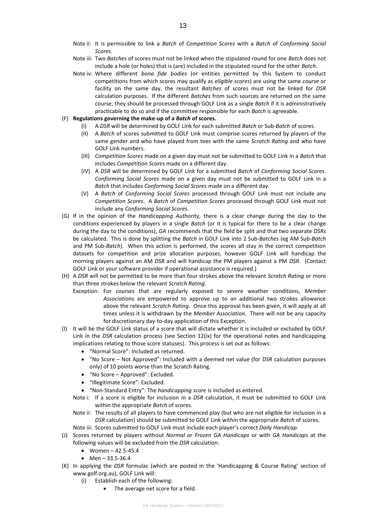- Note ii: It is permissible to link a *Batch* of *Competition Scores* with a *Batch* of *Conforming Social Scores*.
- Note iii: Two *Batches* of scores must not be linked when the stipulated round for one *Batch* does not include a hole (or holes) that is (are) included in the stipulated round for the other *Batch*.
- Note iv: Where different *bona fide bodies* (or entities permitted by this System to conduct competitions from which scores may qualify as *eligible scores*) are using the same *course* or facility on the same day, the resultant *Batches* of scores must not be linked for *DSR* calculation purposes. If the different *Batches* from such sources are returned on the same course, they should be processed through GOLF Link as a single *Batch* if it is administratively practicable to do so and if the committee responsible for each *Batch* is agreeable.
- (F) **Regulations governing the make-up of a** *Batch* **of scores.**
	- (I) A *DSR* will be determined by GOLF Link for each submitted *Batch* or Sub-*Batch* of scores.
	- (II) A *Batch* of scores submitted to GOLF Link must comprise scores returned by players of the same gender and who have played from tees with the same *Scratch Rating* and who have GOLF Link numbers.
	- (III) *Competition Scores* made on a given day must not be submitted to GOLF Link in a *Batch* that includes *Competition Scores* made on a different day.
	- (IV) A *DSR* will be determined by GOLF Link for a submitted *Batch* of *Conforming Social Scores*. *Conforming Social Scores* made on a given day must not be submitted to GOLF Link in a *Batch* that includes *Conforming Social Scores* made on a different day.
	- (V) A *Batch* of *Conforming Social Scores* processed through GOLF Link must not include any *Competition Scores*. A *Batch* of *Competition Scores* processed through GOLF Link must not include any *Conforming Social Scores*.
- (G) If in the opinion of the *Handicapping Authority*, there is a clear change during the day to the conditions experienced by players in a single *Batch* (or it is typical for there to be a clear change during the day to the conditions), *GA* recommends that the field be split and that two separate *DSRs* be calculated. This is done by splitting the *Batch* in GOLF Link into 2 Sub-*Batches* (eg AM Sub-*Batch* and PM Sub-*Batch*). When this action is performed, the scores all stay in the correct competition datasets for competition and prize allocation purposes, however GOLF Link will handicap the morning players against an AM *DSR* and will handicap the PM players against a PM *DSR*. (Contact GOLF Link or your software provider if operational assistance is required.)
- (H) A *DSR* will not be permitted to be more than four strokes above the relevant *Scratch Rating* or more than three strokes below the relevant *Scratch Rating*.
	- Exception: For *courses* that are regularly exposed to severe weather conditions, *Member Associations* are empowered to approve up to an additional two strokes allowance above the relevant *Scratch Rating*. Once this approval has been given, it will apply at all times unless it is withdrawn by the *Member Association*. There will not be any capacity for discretionary day-to-day application of this Exception.
- (I) It will be the GOLF Link status of a score that will dictate whether it is included or excluded by GOLF Link in the *DSR* calculation process (see Section 12(ix) for the operational notes and handicapping implications relating to those score statuses). This process is set out as follows:
	- "Normal Score": Included as returned.
	- "No Score Not Approved": Included with a deemed net value (for DSR calculation purposes only) of 10 points worse than the Scratch Rating.
	- "No Score Approved": Excluded.
	- "Illegitimate Score": Excluded.
	- "Non-Standard Entry": The *handicapping score* is included as entered.
	- Note i: If a score is eligible for inclusion in a *DSR* calculation, it must be submitted to GOLF Link within the appropriate *Batch* of scores.
	- Note ii: The results of all players to have commenced play (but who are not eligible for inclusion in a *DSR* calculation) should be submitted to GOLF Link within the appropriate *Batch* of scores.

Note iii: Scores submitted to GOLF Link must include each player's correct *Daily Handicap*.

- (J) Scores returned by players without *Normal* or *Frozen GA Handicaps* or with *GA Handicaps* at the following values will be excluded from the *DSR* calculation:
	- Women 42.5-45.4
	- Men 33.5-36.4
- (K) In applying the *DSR* formulas (which are posted in the 'Handicapping & Course Rating' section of www.golf.org.au), GOLF Link will:
	- (i) Establish each of the following:
		- The average net score for a field.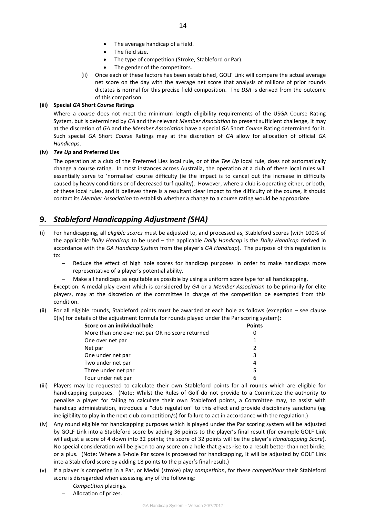- The average handicap of a field.
- The field size.
- The type of competition (Stroke, Stableford or Par).
- The gender of the competitors.
- (ii) Once each of these factors has been established, GOLF Link will compare the actual average net score on the day with the average net score that analysis of millions of prior rounds dictates is normal for this precise field composition. The *DSR* is derived from the outcome of this comparison.

# **(iii) Special** *GA* **Short** *Course* **Ratings**

Where a *course* does not meet the minimum length eligibility requirements of the USGA Course Rating System, but is determined by *GA* and the relevant *Member Association* to present sufficient challenge, it may at the discretion of *GA* and the *Member Association* have a special *GA* Short *Course* Rating determined for it. Such special *GA* Short *Course* Ratings may at the discretion of *GA* allow for allocation of official *GA Handicaps*.

### **(iv)** *Tee Up* **and Preferred Lies**

The operation at a club of the Preferred Lies local rule, or of the *Tee Up* local rule, does not automatically change a course rating. In most instances across Australia, the operation at a club of these local rules will essentially serve to 'normalise' course difficulty (ie the impact is to cancel out the increase in difficulty caused by heavy conditions or of decreased turf quality). However, where a club is operating either, or both, of these local rules, and it believes there is a resultant clear impact to the difficulty of the course, it should contact its *Member Association* to establish whether a change to a course rating would be appropriate.

# **9.** *Stableford Handicapping Adjustment (SHA)*

- (i) For handicapping, all *eligible scores* must be adjusted to, and processed as, Stableford scores (with 100% of the applicable *Daily Handicap* to be used – the applicable *Daily Handicap* is the *Daily Handicap* derived in accordance with the *GA Handicap System* from the player's *GA Handicap*). The purpose of this regulation is to:
	- Reduce the effect of high hole scores for handicap purposes in order to make handicaps more representative of a player's potential ability.
		- Make all handicaps as equitable as possible by using a uniform score type for all handicapping.

Exception: A medal play event which is considered by *GA* or a *Member Association* to be primarily for elite players, may at the discretion of the committee in charge of the competition be exempted from this condition.

(ii) For all eligible rounds, Stableford points must be awarded at each hole as follows (exception – see clause 9(iv) for details of the adjustment formula for rounds played under the Par scoring system):

| Score on an individual hole                     | <b>Points</b> |
|-------------------------------------------------|---------------|
| More than one over net par OR no score returned | 0             |
| One over net par                                | 1             |
| Net par                                         | 2             |
| One under net par                               | 3             |
| Two under net par                               | 4             |
| Three under net par                             | 5             |
| Four under net par                              | 6             |

- (iii) Players may be requested to calculate their own Stableford points for all rounds which are eligible for handicapping purposes. (Note: Whilst the Rules of Golf do not provide to a Committee the authority to penalise a player for failing to calculate their own Stableford points, a Committee may, to assist with handicap administration, introduce a "club regulation" to this effect and provide disciplinary sanctions (eg ineligibility to play in the next club competition/s) for failure to act in accordance with the regulation.)
- (iv) Any round eligible for handicapping purposes which is played under the Par scoring system will be adjusted by GOLF Link into a Stableford score by adding 36 points to the player's final result (for example GOLF Link will adjust a score of 4 down into 32 points; the score of 32 points will be the player's *Handicapping Score*). No special consideration will be given to any score on a hole that gives rise to a result better than net birdie, or a plus. (Note: Where a 9-hole Par score is processed for handicapping, it will be adjusted by GOLF Link into a Stableford score by adding 18 points to the player's final result.)
- (v) If a player is competing in a Par, or Medal (stroke) play *competition*, for these *competitions* their Stableford score is disregarded when assessing any of the following:
	- *Competition* placings.
	- Allocation of prizes.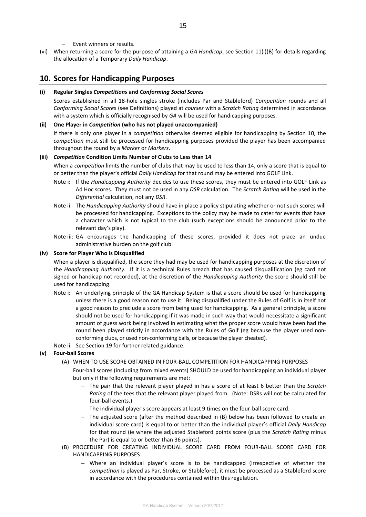- Event winners or results.
- (vi) When returning a score for the purpose of attaining a *GA Handicap*, see Section 11(i)(B) for details regarding the allocation of a Temporary *Daily Handicap*.

# **10. Scores for Handicapping Purposes**

# **(i) Regular Singles** *Competitions* **and** *Conforming Social Scores*

Scores established in all 18-hole singles stroke (includes Par and Stableford) *Competition* rounds and all *Conforming Social Score*s (see Definitions) played at *courses* with a *Scratch Rating* determined in accordance with a system which is officially recognised by *GA* will be used for handicapping purposes.

# **(ii) One Player in** *Competition* **(who has not played unaccompanied)**

If there is only one player in a *competition* otherwise deemed eligible for handicapping by Section 10, the *competition* must still be processed for handicapping purposes provided the player has been accompanied throughout the round by a *Marker* or *Markers*.

# **(iii)** *Competition* **Condition Limits Number of Clubs to Less than 14**

When a *competition* limits the number of clubs that may be used to less than 14, only a score that is equal to or better than the player's official *Daily Handicap* for that round may be entered into GOLF Link.

- Note i: If the *Handicapping Authority* decides to use these scores, they must be entered into GOLF Link as Ad Hoc scores. They must not be used in any *DSR* calculation. The *Scratch Rating* will be used in the *Differential* calculation, not any *DSR*.
- Note ii: The *Handicapping Authority* should have in place a policy stipulating whether or not such scores will be processed for handicapping. Exceptions to the policy may be made to cater for events that have a character which is not typical to the club (such exceptions should be announced prior to the relevant day's play).
- Note iii: GA encourages the handicapping of these scores, provided it does not place an undue administrative burden on the golf club.

# **(iv) Score for Player Who is Disqualified**

When a player is disqualified, the score they had may be used for handicapping purposes at the discretion of the *Handicapping Authority*. If it is a technical Rules breach that has caused disqualification (eg card not signed or handicap not recorded), at the discretion of the *Handicapping Authority* the score should still be used for handicapping.

- Note i: An underlying principle of the GA Handicap System is that a score should be used for handicapping unless there is a good reason not to use it. Being disqualified under the Rules of Golf is in itself not a good reason to preclude a score from being used for handicapping. As a general principle, a score should not be used for handicapping if it was made in such way that would necessitate a significant amount of guess work being involved in estimating what the proper score would have been had the round been played strictly in accordance with the Rules of Golf (eg because the player used nonconforming clubs, or used non-conforming balls, or because the player cheated).
- Note ii: See Section 19 for further related guidance.
- **(v) Four-ball Scores**

# (A) WHEN TO USE SCORE OBTAINED IN FOUR-BALL COMPETITION FOR HANDICAPPING PURPOSES

Four-ball scores (including from mixed events) SHOULD be used for handicapping an individual player but only if the following requirements are met:

- The pair that the relevant player played in has a score of at least 6 better than the *Scratch Rating* of the tees that the relevant player played from. (Note: DSRs will not be calculated for four-ball events.)
- The individual player's score appears at least 9 times on the four-ball score card.
- $-$  The adjusted score (after the method described in (B) below has been followed to create an individual score card) is equal to or better than the individual player's official *Daily Handicap* for that round (ie where the adjusted Stableford points score (plus the *Scratch Rating* minus the Par) is equal to or better than 36 points).
- (B) PROCEDURE FOR CREATING INDIVIDUAL SCORE CARD FROM FOUR-BALL SCORE CARD FOR HANDICAPPING PURPOSES:
	- Where an individual player's score is to be handicapped (irrespective of whether the *competition* is played as Par, Stroke, or Stableford), it must be processed as a Stableford score in accordance with the procedures contained within this regulation.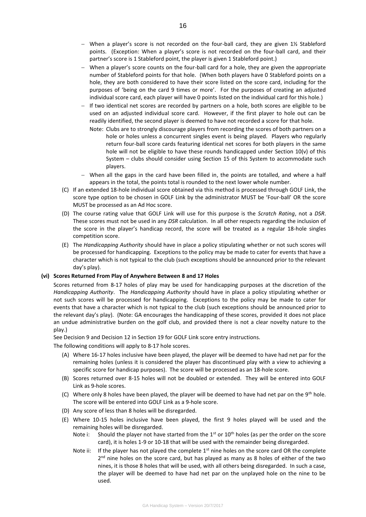- When a player's score is not recorded on the four-ball card, they are given 1½ Stableford points. (Exception: When a player's score is not recorded on the four-ball card, and their partner's score is 1 Stableford point, the player is given 1 Stableford point.)
- When a player's score counts on the four-ball card for a hole, they are given the appropriate number of Stableford points for that hole. (When both players have 0 Stableford points on a hole, they are both considered to have their score listed on the score card, including for the purposes of 'being on the card 9 times or more'. For the purposes of creating an adjusted individual score card, each player will have 0 points listed on the individual card for this hole.)
- If two identical net scores are recorded by partners on a hole, both scores are eligible to be used on an adjusted individual score card. However, if the first player to hole out can be readily identified, the second player is deemed to have not recorded a score for that hole.
	- Note: Clubs are to strongly discourage players from recording the scores of both partners on a hole or holes unless a concurrent singles event is being played. Players who regularly return four-ball score cards featuring identical net scores for both players in the same hole will not be eligible to have these rounds handicapped under Section 10(v) of this System – clubs should consider using Section 15 of this System to accommodate such players.
- When all the gaps in the card have been filled in, the points are totalled, and where a half appears in the total, the points total is rounded to the next lower whole number.
- (C) If an extended 18-hole individual score obtained via this method is processed through GOLF Link, the score type option to be chosen in GOLF Link by the administrator MUST be 'Four-ball' OR the score MUST be processed as an Ad Hoc score.
- (D) The course rating value that GOLF Link will use for this purpose is the *Scratch Rating*, not a *DSR*. These scores must not be used in any *DSR* calculation. In all other respects regarding the inclusion of the score in the player's handicap record, the score will be treated as a regular 18-hole singles competition score.
- (E) The *Handicapping Authority* should have in place a policy stipulating whether or not such scores will be processed for handicapping. Exceptions to the policy may be made to cater for events that have a character which is not typical to the club (such exceptions should be announced prior to the relevant day's play).

# **(vi) Scores Returned From Play of Anywhere Between 8 and 17 Holes**

Scores returned from 8-17 holes of play may be used for handicapping purposes at the discretion of the *Handicapping Authority*. The *Handicapping Authority* should have in place a policy stipulating whether or not such scores will be processed for handicapping. Exceptions to the policy may be made to cater for events that have a character which is not typical to the club (such exceptions should be announced prior to the relevant day's play). (Note: GA encourages the handicapping of these scores, provided it does not place an undue administrative burden on the golf club, and provided there is not a clear novelty nature to the play.)

See Decision 9 and Decision 12 in Section 19 for GOLF Link score entry instructions.

The following conditions will apply to 8-17 hole scores.

- (A) Where 16-17 holes inclusive have been played, the player will be deemed to have had net par for the remaining holes (unless it is considered the player has discontinued play with a view to achieving a specific score for handicap purposes). The score will be processed as an 18-hole score.
- (B) Scores returned over 8-15 holes will not be doubled or extended. They will be entered into GOLF Link as 9-hole scores.
- (C) Where only 8 holes have been played, the player will be deemed to have had net par on the 9th hole. The score will be entered into GOLF Link as a 9-hole score.
- (D) Any score of less than 8 holes will be disregarded.
- (E) Where 10-15 holes inclusive have been played, the first 9 holes played will be used and the remaining holes will be disregarded.
	- Note i: Should the player not have started from the  $1<sup>st</sup>$  or  $10<sup>th</sup>$  holes (as per the order on the score card), it is holes 1-9 or 10-18 that will be used with the remainder being disregarded.
	- Note ii: If the player has not played the complete  $1<sup>st</sup>$  nine holes on the score card OR the complete 2<sup>nd</sup> nine holes on the score card, but has played as many as 8 holes of either of the two nines, it is those 8 holes that will be used, with all others being disregarded. In such a case, the player will be deemed to have had net par on the unplayed hole on the nine to be used.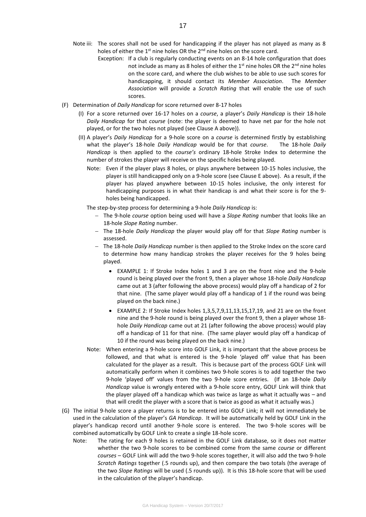- Note iii: The scores shall not be used for handicapping if the player has not played as many as 8 holes of either the 1<sup>st</sup> nine holes OR the 2<sup>nd</sup> nine holes on the score card.
	- Exception: If a club is regularly conducting events on an 8-14 hole configuration that does not include as many as 8 holes of either the  $1<sup>st</sup>$  nine holes OR the  $2<sup>nd</sup>$  nine holes on the score card, and where the club wishes to be able to use such scores for handicapping, it should contact its *Member Association*. The *Member Association* will provide a *Scratch Rating* that will enable the use of such scores.
- (F) Determination of *Daily Handicap* for score returned over 8-17 holes
	- (I) For a score returned over 16-17 holes on a *course*, a player's *Daily Handicap* is their 18-hole *Daily Handicap* for that *course* (note: the player is deemed to have net par for the hole not played, or for the two holes not played (see Clause A above)).
	- (II) A player's *Daily Handicap* for a 9-hole score on a *course* is determined firstly by establishing what the player's 18-hole *Daily Handicap* would be for that *course*. The 18-hole *Daily Handicap* is then applied to the *course's* ordinary 18-hole Stroke Index to determine the number of strokes the player will receive on the specific holes being played.
		- Note: Even if the player plays 8 holes, or plays anywhere between 10-15 holes inclusive, the player is still handicapped only on a 9-hole score (see Clause E above). As a result, if the player has played anywhere between 10-15 holes inclusive, the only interest for handicapping purposes is in what their handicap is and what their score is for the 9 holes being handicapped.

The step-by-step process for determining a 9-hole *Daily Handicap* is:

- The 9-hole *course* option being used will have a *Slope Rating* number that looks like an 18-hole *Slope Rating* number.
- The 18-hole *Daily Handicap* the player would play off for that *Slope Rating* number is assessed.
- The 18-hole *Daily Handicap* number is then applied to the Stroke Index on the score card to determine how many handicap strokes the player receives for the 9 holes being played.
	- EXAMPLE 1: If Stroke Index holes 1 and 3 are on the front nine and the 9-hole round is being played over the front 9, then a player whose 18-hole *Daily Handicap* came out at 3 (after following the above process) would play off a handicap of 2 for that nine. (The same player would play off a handicap of 1 if the round was being played on the back nine.)
	- EXAMPLE 2: If Stroke Index holes 1,3,5,7,9,11,13,15,17,19, and 21 are on the front nine and the 9-hole round is being played over the front 9, then a player whose 18 hole *Daily Handicap* came out at 21 (after following the above process) would play off a handicap of 11 for that nine. (The same player would play off a handicap of 10 if the round was being played on the back nine.)
- Note: When entering a 9-hole score into GOLF Link, it is important that the above process be followed, and that what is entered is the 9-hole 'played off' value that has been calculated for the player as a result. This is because part of the process GOLF Link will automatically perform when it combines two 9-hole scores is to add together the two 9-hole 'played off' values from the two 9-hole score entries. (If an 18-hole *Daily Handicap* value is wrongly entered with a 9-hole score entry, GOLF Link will think that the player played off a handicap which was twice as large as what it actually was – and that will credit the player with a score that is twice as good as what it actually was.)
- (G) The initial 9-hole score a player returns is to be entered into GOLF Link; it will not immediately be used in the calculation of the player's *GA Handicap*. It will be automatically held by GOLF Link in the player's handicap record until another 9-hole score is entered. The two 9-hole scores will be combined automatically by GOLF Link to create a single 18-hole score.
	- Note: The rating for each 9 holes is retained in the GOLF Link database, so it does not matter whether the two 9-hole scores to be combined come from the same *course* or different *courses* – GOLF Link will add the two 9-hole scores together, it will also add the two 9-hole *Scratch Ratings* together (.5 rounds up), and then compare the two totals (the average of the two *Slope Ratings* will be used (.5 rounds up)). It is this 18-hole score that will be used in the calculation of the player's handicap.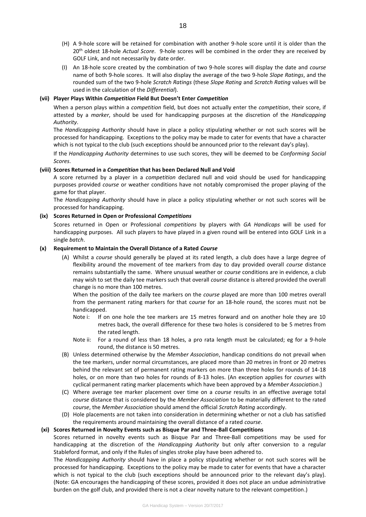- (H) A 9-hole score will be retained for combination with another 9-hole score until it is older than the 20th oldest 18-hole *Actual Score*. 9-hole scores will be combined in the order they are received by GOLF Link, and not necessarily by date order.
- (I) An 18-hole score created by the combination of two 9-hole scores will display the date and *course* name of both 9-hole scores. It will also display the average of the two 9-hole *Slope Ratings*, and the rounded sum of the two 9-hole *Scratch Ratings* (these *Slope Rating* and *Scratch Rating* values will be used in the calculation of the *Differential*).

# **(vii) Player Plays Within** *Competition* **Field But Doesn't Enter** *Competition*

When a person plays within a *competition* field, but does not actually enter the *competition*, their score, if attested by a *marker*, should be used for handicapping purposes at the discretion of the *Handicapping Authority*.

The *Handicapping Authority* should have in place a policy stipulating whether or not such scores will be processed for handicapping. Exceptions to the policy may be made to cater for events that have a character which is not typical to the club (such exceptions should be announced prior to the relevant day's play).

If the *Handicapping Authority* determines to use such scores, they will be deemed to be *Conforming Social Scores*.

# **(viii) Scores Returned in a** *Competition* **that has been Declared Null and Void**

A score returned by a player in a *competition* declared null and void should be used for handicapping purposes provided *course* or weather conditions have not notably compromised the proper playing of the game for that player.

The *Handicapping Authority* should have in place a policy stipulating whether or not such scores will be processed for handicapping.

# **(ix) Scores Returned in Open or Professional** *Competitions*

Scores returned in Open or Professional *competitions* by players with *GA Handicaps* will be used for handicapping purposes. All such players to have played in a given round will be entered into GOLF Link in a single *batch*.

# **(x) Requirement to Maintain the Overall Distance of a Rated** *Course*

(A) Whilst a *course* should generally be played at its rated length, a club does have a large degree of flexibility around the movement of tee markers from day to day provided overall *course* distance remains substantially the same. Where unusual weather or *course* conditions are in evidence, a club may wish to set the daily tee markers such that overall *course* distance is altered provided the overall change is no more than 100 metres.

When the position of the daily tee markers on the *course* played are more than 100 metres overall from the permanent rating markers for that c*ourse* for an 18-hole round, the scores must not be handicapped.

- Note i: If on one hole the tee markers are 15 metres forward and on another hole they are 10 metres back, the overall difference for these two holes is considered to be 5 metres from the rated length.
- Note ii: For a round of less than 18 holes, a pro rata length must be calculated; eg for a 9-hole round, the distance is 50 metres.
- (B) Unless determined otherwise by the *Member Association*, handicap conditions do not prevail when the tee markers, under normal circumstances, are placed more than 20 metres in front or 20 metres behind the relevant set of permanent rating markers on more than three holes for rounds of 14-18 holes, or on more than two holes for rounds of 8-13 holes. (An exception applies for *courses* with cyclical permanent rating marker placements which have been approved by a *Member Association*.)
- (C) Where average tee marker placement over time on a *course* results in an effective average total *course* distance that is considered by the *Member Association* to be materially different to the rated *course*, the *Member Association* should amend the official *Scratch Rating* accordingly.
- (D) Hole placements are not taken into consideration in determining whether or not a club has satisfied the requirements around maintaining the overall distance of a rated *course*.

# **(xi) Scores Returned in Novelty Events such as Bisque Par and Three-Ball Competitions**

Scores returned in novelty events such as Bisque Par and Three-Ball competitions may be used for handicapping at the discretion of the *Handicapping Authority* but only after conversion to a regular Stableford format, and only if the Rules of singles stroke play have been adhered to.

The *Handicapping Authority* should have in place a policy stipulating whether or not such scores will be processed for handicapping. Exceptions to the policy may be made to cater for events that have a character which is not typical to the club (such exceptions should be announced prior to the relevant day's play). (Note: GA encourages the handicapping of these scores, provided it does not place an undue administrative burden on the golf club, and provided there is not a clear novelty nature to the relevant competition.)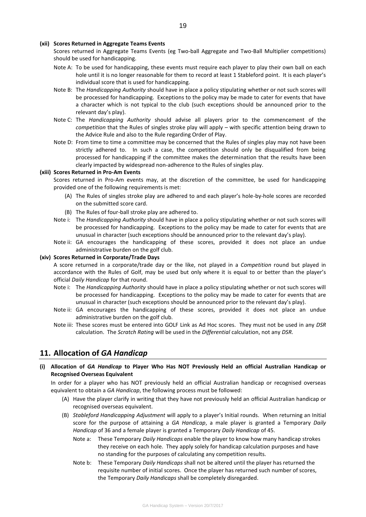# **(xii) Scores Returned in Aggregate Teams Events**

Scores returned in Aggregate Teams Events (eg Two-ball Aggregate and Two-Ball Multiplier competitions) should be used for handicapping.

- Note A: To be used for handicapping, these events must require each player to play their own ball on each hole until it is no longer reasonable for them to record at least 1 Stableford point. It is each player's individual score that is used for handicapping.
- Note B: The *Handicapping Authority* should have in place a policy stipulating whether or not such scores will be processed for handicapping. Exceptions to the policy may be made to cater for events that have a character which is not typical to the club (such exceptions should be announced prior to the relevant day's play).
- Note C: The *Handicapping Authority* should advise all players prior to the commencement of the *competition* that the Rules of singles stroke play will apply – with specific attention being drawn to the Advice Rule and also to the Rule regarding Order of Play.
- Note D: From time to time a committee may be concerned that the Rules of singles play may not have been strictly adhered to. In such a case, the competition should only be disqualified from being processed for handicapping if the committee makes the determination that the results have been clearly impacted by widespread non-adherence to the Rules of singles play.

### **(xiii) Scores Returned in Pro-Am Events**

Scores returned in Pro-Am events may, at the discretion of the committee, be used for handicapping provided one of the following requirements is met:

- (A) The Rules of singles stroke play are adhered to and each player's hole-by-hole scores are recorded on the submitted score card.
- (B) The Rules of four-ball stroke play are adhered to.
- Note i: The *Handicapping Authority* should have in place a policy stipulating whether or not such scores will be processed for handicapping. Exceptions to the policy may be made to cater for events that are unusual in character (such exceptions should be announced prior to the relevant day's play).
- Note ii: GA encourages the handicapping of these scores, provided it does not place an undue administrative burden on the golf club.

# **(xiv) Scores Returned in Corporate/Trade Days**

A score returned in a corporate/trade day or the like, not played in a *Competition* round but played in accordance with the Rules of Golf, may be used but only where it is equal to or better than the player's official *Daily Handicap* for that round.

- Note i: The *Handicapping Authority* should have in place a policy stipulating whether or not such scores will be processed for handicapping. Exceptions to the policy may be made to cater for events that are unusual in character (such exceptions should be announced prior to the relevant day's play).
- Note ii: GA encourages the handicapping of these scores, provided it does not place an undue administrative burden on the golf club.
- Note iii: These scores must be entered into GOLF Link as Ad Hoc scores. They must not be used in any *DSR* calculation. The *Scratch Rating* will be used in the *Differential* calculation, not any *DSR*.

# **11. Allocation of** *GA Handicap*

**(i) Allocation of** *GA Handicap* **to Player Who Has NOT Previously Held an official Australian Handicap or Recognised Overseas Equivalent**

In order for a player who has NOT previously held an official Australian handicap or recognised overseas equivalent to obtain a *GA Handicap*, the following process must be followed:

- (A) Have the player clarify in writing that they have not previously held an official Australian handicap or recognised overseas equivalent.
- (B) *Stableford Handicapping Adjustment* will apply to a player's Initial rounds. When returning an Initial score for the purpose of attaining a *GA Handicap*, a male player is granted a Temporary *Daily Handicap* of 36 and a female player is granted a Temporary *Daily Handicap* of 45.
	- Note a: These Temporary *Daily Handicaps* enable the player to know how many handicap strokes they receive on each hole. They apply solely for handicap calculation purposes and have no standing for the purposes of calculating any competition results.
	- Note b: These Temporary *Daily Handicaps* shall not be altered until the player has returned the requisite number of initial scores. Once the player has returned such number of scores, the Temporary *Daily Handicaps* shall be completely disregarded.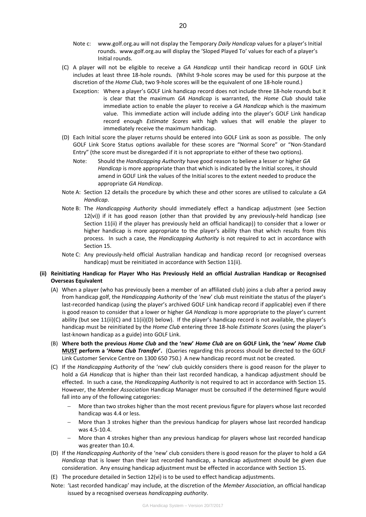- Note c: www.golf.org.au will not display the Temporary *Daily Handicap* values for a player's Initial rounds. www.golf.org.au will display the 'Sloped Played To' values for each of a player's Initial rounds.
- (C) A player will not be eligible to receive a *GA Handicap* until their handicap record in GOLF Link includes at least three 18-hole rounds. (Whilst 9-hole scores may be used for this purpose at the discretion of the *Home Club*, two 9-hole scores will be the equivalent of one 18-hole round.)
	- Exception: Where a player's GOLF Link handicap record does not include three 18-hole rounds but it is clear that the maximum *GA Handicap* is warranted, the *Home Club* should take immediate action to enable the player to receive a *GA Handicap* which is the maximum value. This immediate action will include adding into the player's GOLF Link handicap record enough *Estimate Scores* with high values that will enable the player to immediately receive the maximum handicap.
- (D) Each Initial score the player returns should be entered into GOLF Link as soon as possible. The only GOLF Link Score Status options available for these scores are "Normal Score" or "Non-Standard Entry" (the score must be disregarded if it is not appropriate to either of these two options).
	- Note: Should the *Handicapping Authority* have good reason to believe a lesser or higher *GA Handicap* is more appropriate than that which is indicated by the Initial scores, it should amend in GOLF Link the values of the Initial scores to the extent needed to produce the appropriate *GA Handicap*.
- Note A: Section 12 details the procedure by which these and other scores are utilised to calculate a *GA Handicap*.
- Note B: The *Handicapping Authority* should immediately effect a handicap adjustment (see Section 12(vi)) if it has good reason (other than that provided by any previously-held handicap (see Section 11(ii) if the player has previously held an official handicap)) to consider that a lower or higher handicap is more appropriate to the player's ability than that which results from this process. In such a case, the *Handicapping Authority* is not required to act in accordance with Section 15.
- Note C: Any previously-held official Australian handicap and handicap record (or recognised overseas handicap) must be reinitiated in accordance with Section 11(ii).
- **(ii) Reinitiating Handicap for Player Who Has Previously Held an official Australian Handicap or Recognised Overseas Equivalent**
	- (A) When a player (who has previously been a member of an affiliated club) joins a club after a period away from handicap golf, the *Handicapping Authority* of the 'new' club must reinitiate the status of the player's last-recorded handicap (using the player's archived GOLF Link handicap record if applicable) even if there is good reason to consider that a lower or higher *GA Handicap* is more appropriate to the player's current ability (but see 11(ii)(C) and 11(ii)(D) below). If the player's handicap record is not available, the player's handicap must be reinitiated by the *Home Club* entering three 18-hole *Estimate Score*s (using the player's last-known handicap as a guide) into GOLF Link.
	- (B) **Where both the previous** *Home Club* **and the 'new'** *Home Club* **are on GOLF Link, the 'new'** *Home Club* **MUST perform a '***Home Club Transfer***'.** (Queries regarding this process should be directed to the GOLF Link Customer Service Centre on 1300 650 750.) A new handicap record must not be created.
	- (C) If the *Handicapping Authority* of the 'new' club quickly considers there is good reason for the player to hold a *GA Handicap* that is higher than their last recorded handicap, a handicap adjustment should be effected. In such a case, the *Handicapping Authority* is not required to act in accordance with Section 15. However, the *Member Association* Handicap Manager must be consulted if the determined figure would fall into any of the following categories:
		- More than two strokes higher than the most recent previous figure for players whose last recorded handicap was 4.4 or less.
		- More than 3 strokes higher than the previous handicap for players whose last recorded handicap was 4.5-10.4.
		- More than 4 strokes higher than any previous handicap for players whose last recorded handicap was greater than 10.4.
	- (D) If the *Handicapping Authority* of the 'new' club considers there is good reason for the player to hold a *GA Handicap* that is lower than their last recorded handicap, a handicap adjustment should be given due consideration. Any ensuing handicap adjustment must be effected in accordance with Section 15.
	- (E) The procedure detailed in Section 12(vi) is to be used to effect handicap adjustments.
	- Note: 'Last recorded handicap' may include, at the discretion of the *Member Association*, an official handicap issued by a recognised overseas *handicapping authority*.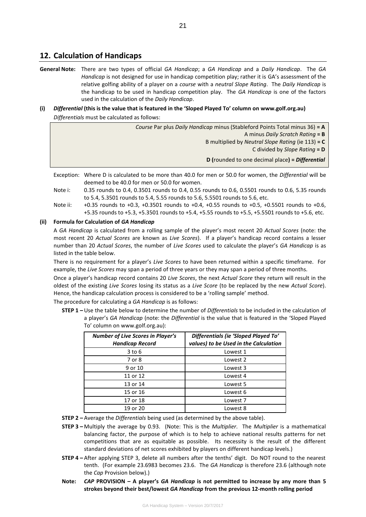# **12. Calculation of Handicaps**

- **General Note:** There are two types of official *GA Handicap*; a *GA Handicap* and a *Daily Handicap*. The *GA Handicap* is not designed for use in handicap competition play; rather it is GA's assessment of the relative golfing ability of a player on a *course* with a *neutral Slope Rating*. The *Daily Handicap* is the handicap to be used in handicap competition play. The *GA Handicap* is one of the factors used in the calculation of the *Daily Handicap*.
- **(i)** *Differential* **(this is the value that is featured in the 'Sloped Played To' column on www.golf.org.au)** *Differentials* must be calculated as follows:

*Course* Par plus *Daily Handicap* minus (Stableford Points Total minus 36) **= A**

A minus *Daily Scratch Rating* **= B**

B multiplied by *Neutral Slope Rating* (ie 113) **= C**

C divided by *Slope Rating* **= D**

**D (**rounded to one decimal place**) =** *Differential*

- Exception: Where D is calculated to be more than 40.0 for men or 50.0 for women, the *Differential* will be deemed to be 40.0 for men or 50.0 for women.
- Note i: 0.35 rounds to 0.4, 0.3501 rounds to 0.4, 0.55 rounds to 0.6, 0.5501 rounds to 0.6, 5.35 rounds to 5.4, 5.3501 rounds to 5.4, 5.55 rounds to 5.6, 5.5501 rounds to 5.6, etc.
- Note ii: +0.35 rounds to +0.3, +0.3501 rounds to +0.4, +0.55 rounds to +0.5, +0.5501 rounds to +0.6, +5.35 rounds to +5.3, +5.3501 rounds to +5.4, +5.55 rounds to +5.5, +5.5501 rounds to +5.6, etc.

# **(ii) Formula for Calculation of** *GA Handicap*

A *GA Handicap* is calculated from a rolling sample of the player's most recent 20 *Actual Scores* (note: the most recent 20 *Actual Scores* are known as *Live Scores*). If a player's handicap record contains a lesser number than 20 *Actual Scores*, the number of *Live Scores* used to calculate the player's *GA Handicap* is as listed in the table below.

There is no requirement for a player's *Live Scores* to have been returned within a specific timeframe. For example, the *Live Scores* may span a period of three years or they may span a period of three months.

Once a player's handicap record contains 20 *Live Scores*, the next *Actual Score* they return will result in the oldest of the existing *Live Scores* losing its status as a *Live Score* (to be replaced by the new *Actual Score*). Hence, the handicap calculation process is considered to be a 'rolling sample' method.

The procedure for calculating a *GA Handicap* is as follows:

**STEP 1 –** Use the table below to determine the number of *Differentials* to be included in the calculation of a player's *GA Handicap* (note: the *Differential* is the value that is featured in the 'Sloped Played To' column on www.golf.org.au):

| <b>Number of Live Scores in Player's</b><br><b>Handicap Record</b> | Differentials (ie 'Sloped Played To'<br>values) to be Used in the Calculation |
|--------------------------------------------------------------------|-------------------------------------------------------------------------------|
| $3$ to $6$                                                         | Lowest 1                                                                      |
| 7 or 8                                                             | Lowest 2                                                                      |
| 9 or 10                                                            | Lowest 3                                                                      |
| 11 or 12                                                           | Lowest 4                                                                      |
| 13 or 14                                                           | Lowest 5                                                                      |
| 15 or 16                                                           | Lowest 6                                                                      |
| 17 or 18                                                           | Lowest 7                                                                      |
| 19 or 20                                                           | Lowest 8                                                                      |

- **STEP 2 –** Average the *Differentials* being used (as determined by the above table).
- **STEP 3 –** Multiply the average by 0.93. (Note: This is the *Multiplier*. The *Multiplier* is a mathematical balancing factor, the purpose of which is to help to achieve national results patterns for net competitions that are as equitable as possible. Its necessity is the result of the different standard deviations of net scores exhibited by players on different handicap levels.)
- **STEP 4 –** After applying STEP 3, delete all numbers after the tenths' digit. Do NOT round to the nearest tenth. (For example 23.6983 becomes 23.6. The *GA Handicap* is therefore 23.6 (although note the *Cap* Provision below).)
- **Note:** *CAP* **PROVISION – A player's** *GA Handicap* **is not permitted to increase by any more than 5 strokes beyond their best/lowest** *GA Handicap* **from the previous 12-month rolling period**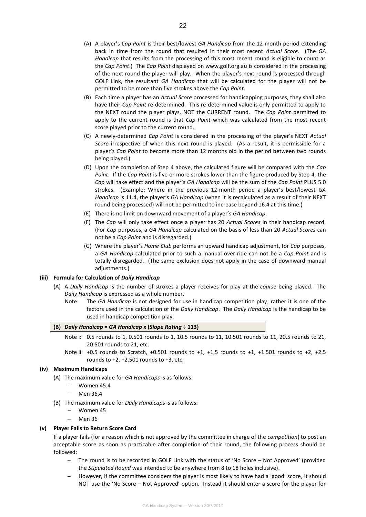- (A) A player's *Cap Point* is their best/lowest *GA Handicap* from the 12-month period extending back in time from the round that resulted in their most recent *Actual Score*. (The *GA Handicap* that results from the processing of this most recent round is eligible to count as the *Cap Point*.) The *Cap Point* displayed o[n www.golf.org.au](http://www.golf.org.au/) is considered in the processing of the next round the player will play. When the player's next round is processed through GOLF Link, the resultant *GA Handicap* that will be calculated for the player will not be permitted to be more than five strokes above the *Cap Point*.
- (B) Each time a player has an *Actual Score* processed for handicapping purposes, they shall also have their *Cap Point* re-determined. This re-determined value is only permitted to apply to the NEXT round the player plays, NOT the CURRENT round. The *Cap Point* permitted to apply to the current round is that *Cap Point* which was calculated from the most recent score played prior to the current round.
- (C) A newly-determined *Cap Point* is considered in the processing of the player's NEXT *Actual Score* irrespective of when this next round is played. (As a result, it is permissible for a player's *Cap Point* to become more than 12 months old in the period between two rounds being played.)
- (D) Upon the completion of Step 4 above, the calculated figure will be compared with the *Cap Point*. If the *Cap Point* is five or more strokes lower than the figure produced by Step 4, the *Cap* will take effect and the player's *GA Handicap* will be the sum of the *Cap Point* PLUS 5.0 strokes. (Example: Where in the previous 12-month period a player's best/lowest *GA Handicap* is 11.4, the player's *GA Handicap* (when it is recalculated as a result of their NEXT round being processed) will not be permitted to increase beyond 16.4 at this time.)
- (E) There is no limit on downward movement of a player's *GA Handicap*.
- (F) The *Cap* will only take effect once a player has 20 *Actual Scores* in their handicap record. (For *Cap* purposes, a *GA Handicap* calculated on the basis of less than 20 *Actual Scores* can not be a *Cap Point* and is disregarded.)
- (G) Where the player's *Home Club* performs an upward handicap adjustment, for *Cap* purposes, a *GA Handicap* calculated prior to such a manual over-ride can not be a *Cap Point* and is totally disregarded. (The same exclusion does not apply in the case of downward manual adjustments.)

# **(iii) Formula for Calculation of** *Daily Handicap*

- (A) A *Daily Handicap* is the number of strokes a player receives for play at the *course* being played. The *Daily Handicap* is expressed as a whole number.
	- Note: The *GA Handicap* is not designed for use in handicap competition play; rather it is one of the factors used in the calculation of the *Daily Handicap*. The *Daily Handicap* is the handicap to be used in handicap competition play.

# **(B)** *Daily Handicap* **=** *GA Handicap* **x (***Slope Rating* **÷ 113)**

- Note i: 0.5 rounds to 1, 0.501 rounds to 1, 10.5 rounds to 11, 10.501 rounds to 11, 20.5 rounds to 21, 20.501 rounds to 21, etc.
- Note ii: +0.5 rounds to Scratch, +0.501 rounds to +1, +1.5 rounds to +1, +1.501 rounds to +2, +2.5 rounds to  $+2$ ,  $+2.501$  rounds to  $+3$ , etc.

### **(iv) Maximum Handicaps**

- (A) The maximum value for *GA Handicaps* is as follows:
	- Women 45.4
	- Men 36.4
- (B) The maximum value for *Daily Handicap*s is as follows:
	- Women 45
	- Men 36

### **(v) Player Fails to Return Score Card**

If a player fails (for a reason which is not approved by the committee in charge of the *competition*) to post an acceptable score as soon as practicable after completion of their round, the following process should be followed:

- The round is to be recorded in GOLF Link with the status of 'No Score Not Approved' (provided the *Stipulated Round* was intended to be anywhere from 8 to 18 holes inclusive).
- However, if the committee considers the player is most likely to have had a 'good' score, it should NOT use the 'No Score – Not Approved' option. Instead it should enter a score for the player for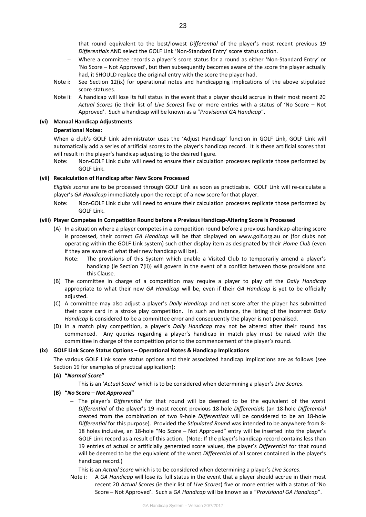that round equivalent to the best/lowest *Differential* of the player's most recent previous 19 *Differentials* AND select the GOLF Link 'Non-Standard Entry' score status option.

- Where a committee records a player's score status for a round as either 'Non-Standard Entry' or 'No Score – Not Approved', but then subsequently becomes aware of the score the player actually had, it SHOULD replace the original entry with the score the player had.
- Note i: See Section 12(ix) for operational notes and handicapping implications of the above stipulated score statuses.
- Note ii: A handicap will lose its full status in the event that a player should accrue in their most recent 20 *Actual Scores* (ie their list of *Live Scores*) five or more entries with a status of 'No Score – Not Approved'. Such a handicap will be known as a "*Provisional GA Handicap*".

# **(vi) Manual Handicap Adjustments**

# **Operational Notes:**

When a club's GOLF Link administrator uses the 'Adjust Handicap' function in GOLF Link, GOLF Link will automatically add a series of artificial scores to the player's handicap record. It is these artificial scores that will result in the player's handicap adjusting to the desired figure.

Note: Non-GOLF Link clubs will need to ensure their calculation processes replicate those performed by GOLF Link.

# **(vii) Recalculation of Handicap after New Score Processed**

*Eligible scores* are to be processed through GOLF Link as soon as practicable. GOLF Link will re-calculate a player's *GA Handicap* immediately upon the receipt of a new score for that player.

Note: Non-GOLF Link clubs will need to ensure their calculation processes replicate those performed by GOLF Link.

# **(viii) Player Competes in Competition Round before a Previous Handicap-Altering Score is Processed**

- (A) In a situation where a player competes in a competition round before a previous handicap-altering score is processed, their correct *GA Handicap* will be that displayed on<www.golf.org.au> or (for clubs not operating within the GOLF Link system) such other display item as designated by their *Home Club* (even if they are aware of what their new handicap will be).
	- Note: The provisions of this System which enable a Visited Club to temporarily amend a player's handicap (ie Section 7(ii)) will govern in the event of a conflict between those provisions and this Clause.
- (B) The committee in charge of a competition may require a player to play off the *Daily Handicap* appropriate to what their new *GA Handicap* will be, even if their *GA Handicap* is yet to be officially adjusted.
- (C) A committee may also adjust a player's *Daily Handicap* and net score after the player has submitted their score card in a stroke play competition. In such an instance, the listing of the incorrect *Daily Handicap* is considered to be a committee error and consequently the player is not penalised.
- (D) In a match play competition, a player's *Daily Handicap* may not be altered after their round has commenced. Any queries regarding a player's handicap in match play must be raised with the committee in charge of the competition prior to the commencement of the player's round.

# **(ix) GOLF Link Score Status Options – Operational Notes & Handicap Implications**

The various GOLF Link score status options and their associated handicap implications are as follows (see Section 19 for examples of practical application):

# **(A) "***Normal Score***"**

- This is an '*Actual Score*' which is to be considered when determining a player's *Live Scores*.
- **(B) "***No* **Score** *– Not Approved***"**
	- The player's *Differential* for that round will be deemed to be the equivalent of the worst *Differential* of the player's 19 most recent previous 18-hole *Differentials* (an 18-hole *Differential* created from the combination of two 9-hole *Differentials* will be considered to be an 18-hole *Differential* for this purpose). Provided the *Stipulated Round* was intended to be anywhere from 8- 18 holes inclusive, an 18-hole "No Score – Not Approved" entry will be inserted into the player's GOLF Link record as a result of this action. (Note: If the player's handicap record contains less than 19 entries of actual or artificially generated score values, the player's *Differential* for that round will be deemed to be the equivalent of the worst *Differential* of all scores contained in the player's handicap record.)
	- This is an *Actual Score* which is to be considered when determining a player's *Live Scores*.
	- Note i: A *GA Handicap* will lose its full status in the event that a player should accrue in their most recent 20 *Actual Scores* (ie their list of *Live Scores*) five or more entries with a status of 'No Score – Not Approved'. Such a *GA Handicap* will be known as a "*Provisional GA Handicap*".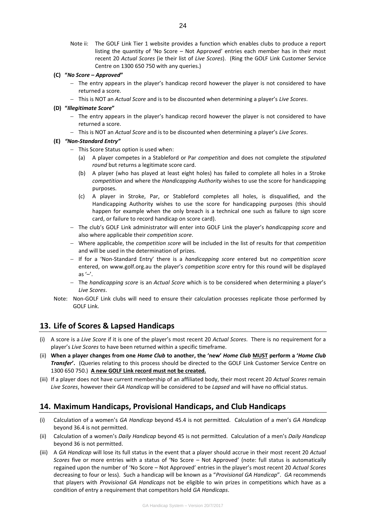Note ii: The GOLF Link Tier 1 website provides a function which enables clubs to produce a report listing the quantity of 'No Score – Not Approved' entries each member has in their most recent 20 *Actual Scores* (ie their list of *Live Scores*). (Ring the GOLF Link Customer Service Centre on 1300 650 750 with any queries.)

# **(C) "***No Score – Approved***"**

- $-$  The entry appears in the player's handicap record however the player is not considered to have returned a score.
- This is NOT an *Actual Score* and is to be discounted when determining a player's *Live Scores*.

# **(D) "***Illegitimate Score***"**

- $-$  The entry appears in the player's handicap record however the player is not considered to have returned a score.
- This is NOT an *Actual Score* and is to be discounted when determining a player's *Live Scores*.

# **(E)** *"Non-Standard Entry"*

- This Score Status option is used when:
	- (a) A player competes in a Stableford or Par *competition* and does not complete the *stipulated round* but returns a legitimate score card.
	- (b) A player (who has played at least eight holes) has failed to complete all holes in a Stroke *competition* and where the *Handicapping Authority* wishes to use the score for handicapping purposes.
	- (c) A player in Stroke, Par, or Stableford completes all holes, is disqualified, and the Handicapping Authority wishes to use the score for handicapping purposes (this should happen for example when the only breach is a technical one such as failure to sign score card, or failure to record handicap on score card).
- The club's GOLF Link administrator will enter into GOLF Link the player's *handicapping score* and also where applicable their *competition score*.
- Where applicable, the *competition score* will be included in the list of results for that *competition* and will be used in the determination of prizes.
- If for a 'Non-Standard Entry' there is a *handicapping score* entered but no *competition score* entered, on [www.golf.org.au](http://www.golf.org.au/) the player's *competition score* entry for this round will be displayed as  $-$ '.
- The *handicapping score* is an *Actual Score* which is to be considered when determining a player's *Live Scores*.
- Note: Non-GOLF Link clubs will need to ensure their calculation processes replicate those performed by GOLF Link.

# **13. Life of Scores & Lapsed Handicaps**

- (i) A score is a *Live Score* if it is one of the player's most recent 20 *Actual Scores*. There is no requirement for a player's *Live Scores* to have been returned within a specific timeframe.
- (ii) **When a player changes from one** *Home Club* **to another, the 'new'** *Home Club* **MUST perform a '***Home Club Transfer***'.** (Queries relating to this process should be directed to the GOLF Link Customer Service Centre on 1300 650 750.) **A new GOLF Link record must not be created.**
- (iii) If a player does not have current membership of an affiliated body, their most recent 20 *Actual Scores* remain *Live Scores*, however their *GA Handicap* will be considered to be *Lapsed* and will have no official status.

# **14. Maximum Handicaps, Provisional Handicaps, and Club Handicaps**

- (i) Calculation of a women's *GA Handicap* beyond 45.4 is not permitted. Calculation of a men's *GA Handicap* beyond 36.4 is not permitted.
- (ii) Calculation of a women's *Daily Handicap* beyond 45 is not permitted. Calculation of a men's *Daily Handicap* beyond 36 is not permitted.
- (iii) A *GA Handicap* will lose its full status in the event that a player should accrue in their most recent 20 *Actual Scores* five or more entries with a status of 'No Score – Not Approved' (note: full status is automatically regained upon the number of 'No Score – Not Approved' entries in the player's most recent 20 *Actual Scores* decreasing to four or less). Such a handicap will be known as a "*Provisional GA Handicap*". *GA* recommends that players with *Provisional GA Handicaps* not be eligible to win prizes in competitions which have as a condition of entry a requirement that competitors hold *GA Handicaps*.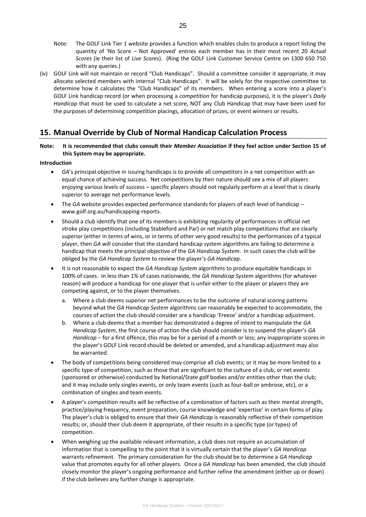- Note: The GOLF Link Tier 1 website provides a function which enables clubs to produce a report listing the quantity of 'No Score – Not Approved' entries each member has in their most recent 20 *Actual Scores* (ie their list of *Live Scores*). (Ring the GOLF Link Customer Service Centre on 1300 650 750 with any queries.)
- (iv) GOLF Link will not maintain or record "Club Handicaps". Should a committee consider it appropriate, it may allocate selected members with internal "Club Handicaps". It will be solely for the respective committee to determine how it calculates the "Club Handicaps" of its members. When entering a score into a player's GOLF Link handicap record (or when processing a *competition* for handicap purposes), it is the player's *Daily Handicap* that must be used to calculate a net score, NOT any Club Handicap that may have been used for the purposes of determining *competition* placings, allocation of prizes, or event winners or results.

# **15. Manual Override by Club of Normal Handicap Calculation Process**

# **Note: It is recommended that clubs consult their** *Member Association* **if they feel action under Section 15 of this System may be appropriate.**

# **Introduction**

- *GA*'s principal objective in issuing handicaps is to provide all competitors in a net competition with an equal chance of achieving success. Net competitions by their nature should see a mix of all players enjoying various levels of success – specific players should not regularly perform at a level that is clearly superior to average net performance levels.
- The *GA* website provides expected performance standards for players of each level of handicap [www.golf.org.au/handicapping-reports.](http://www.golf.org.au/handicapping-reports)
- Should a club identify that one of its members is exhibiting regularity of performances in official net stroke play competitions (including Stableford and Par) or net match play competitions that are clearly superior (either in terms of wins, or in terms of other very good results) to the performances of a typical player, then *GA* will consider that the standard handicap system algorithms are failing to determine a handicap that meets the principal objective of the *GA Handicap System*. In such cases the club will be obliged by the *GA Handicap System* to review the player's *GA Handicap*.
- It is not reasonable to expect the *GA Handicap System* algorithms to produce equitable handicaps in 100% of cases. In less than 1% of cases nationwide, the *GA Handicap System* algorithms (for whatever reason) will produce a handicap for one player that is unfair either to the player or players they are competing against, or to the player themselves.
	- a. Where a club deems superior net performances to be the outcome of natural scoring patterns beyond what the *GA Handicap System* algorithms can reasonably be expected to accommodate, the courses of action the club should consider are a handicap 'Freeze' and/or a handicap adjustment.
	- b. Where a club deems that a member has demonstrated a degree of intent to manipulate the *GA Handicap System*, the first course of action the club should consider is to suspend the player's *GA Handicap* – for a first offence, this may be for a period of a month or less; any inappropriate scores in the player's GOLF Link record should be deleted or amended, and a handicap adjustment may also be warranted.
- The body of competitions being considered may comprise all club events; or it may be more limited to a specific type of competition, such as those that are significant to the culture of a club, or net events (sponsored or otherwise) conducted by National/State golf bodies and/or entities other than the club; and it may include only singles events, or only team events (such as four-ball or ambrose, etc), or a combination of singles and team events.
- A player's competition results will be reflective of a combination of factors such as their mental strength, practice/playing frequency, event preparation, course knowledge and 'expertise' in certain forms of play. The player's club is obliged to ensure that their *GA Handicap* is reasonably reflective of their competition results; or, should their club deem it appropriate, of their results in a specific type (or types) of competition.
- When weighing up the available relevant information, a club does not require an accumulation of information that is compelling to the point that it is virtually certain that the player's *GA Handicap* warrants refinement. The primary consideration for the club should be to determine a *GA Handicap* value that promotes equity for all other players. Once a *GA Handicap* has been amended, the club should closely monitor the player's ongoing performance and further refine the amendment (either up or down) if the club believes any further change is appropriate.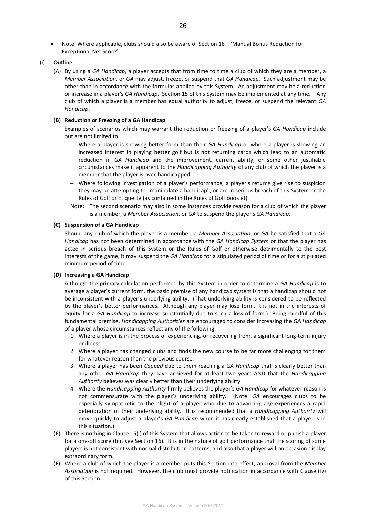• Note: Where applicable, clubs should also be aware of Section 16 – 'Manual Bonus Reduction for Exceptional Net Score'.

# (i) **Outline**

(A) By using a *GA Handicap*, a player accepts that from time to time a club of which they are a member, a *Member Association*, or *GA* may adjust, freeze, or suspend that *GA Handicap*. Such adjustment may be other than in accordance with the formulas applied by this System. An adjustment may be a reduction or increase in a player's *GA Handicap*. Section 15 of this System may be implemented at any time. Any club of which a player is a member has equal authority to adjust, freeze, or suspend the relevant *GA Handicap*.

# **(B) Reduction or Freezing of a GA Handicap**

Examples of scenarios which may warrant the reduction or freezing of a player's *GA Handicap* include but are not limited to:

- Where a player is showing better form than their *GA Handicap* or where a player is showing an increased interest in playing better golf but is not returning cards which lead to an automatic reduction in *GA Handicap* and the improvement, current ability, or some other justifiable circumstances make it apparent to the *Handicapping Authority* of any club of which the player is a member that the player is over-handicapped.
- Where following investigation of a player's performance, a player's returns give rise to suspicion they may be attempting to "manipulate a handicap", or are in serious breach of this System or the Rules of Golf or Etiquette (as contained in the Rules of Golf booklet).
- Note: The second scenario may also in some instances provide reason for a club of which the player is a member, a *Member Association*, or *GA* to suspend the player's *GA Handicap*.

# **(C) Suspension of a GA Handicap**

Should any club of which the player is a member, a *Member Association*, or *GA* be satisfied that a *GA Handicap* has not been determined in accordance with the *GA Handicap System* or that the player has acted in serious breach of this System or the Rules of Golf or otherwise detrimentally to the best interests of the game, it may suspend the *GA Handicap* for a stipulated period of time or for a stipulated minimum period of time.

# **(D) Increasing a GA Handicap**

Although the primary calculation performed by this System in order to determine a *GA Handicap* is to average a player's current form, the basic premise of any handicap system is that a handicap should not be inconsistent with a player's underlying ability. (That underlying ability is considered to be reflected by the player's better performances. Although any player may lose form, it is not in the interests of equity for a *GA Handicap* to increase substantially due to such a loss of form.) Being mindful of this fundamental premise, *Handicapping Authorities* are encouraged to consider increasing the *GA Handicap* of a player whose circumstances reflect any of the following:

- 1. Where a player is in the process of experiencing, or recovering from, a significant long-term injury or illness.
- 2. Where a player has changed clubs and finds the new course to be far more challenging for them for whatever reason than the previous course.
- 3. Where a player has been *Capped* due to them reaching a *GA Handicap* that is clearly better than any other *GA Handicap* they have achieved for at least two years AND that the *Handicapping Authority* believes was clearly better than their underlying ability.
- 4. Where the *Handicapping Authority* firmly believes the player's *GA Handicap* for whatever reason is not commensurate with the player's underlying ability. (Note: *GA* encourages clubs to be especially sympathetic to the plight of a player who due to advancing age experiences a rapid deterioration of their underlying ability. It is recommended that a *Handicapping Authority* will move quickly to adjust a player's *GA Handicap* when it has clearly established that a player is in this situation.)
- (E) There is nothing in Clause 15(i) of this System that allows action to be taken to reward or punish a player for a one-off score (but see Section 16). It is in the nature of golf performance that the scoring of some players is not consistent with normal distribution patterns, and also that a player will on occasion display extraordinary form.
- (F) Where a club of which the player is a member puts this Section into effect, approval from the *Member Association* is not required. However, the club must provide notification in accordance with Clause (iv) of this Section.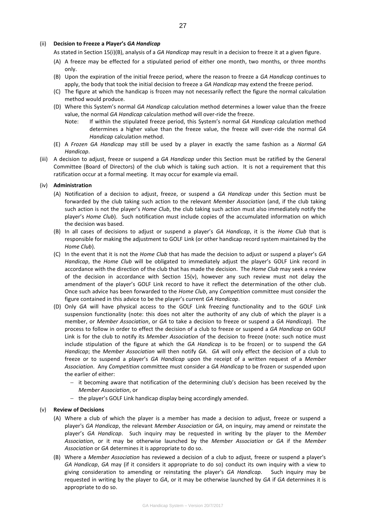# (ii) **Decision to Freeze a Player's** *GA Handicap*

As stated in Section 15(i)(B), analysis of a *GA Handicap* may result in a decision to freeze it at a given figure.

- (A) A freeze may be effected for a stipulated period of either one month, two months, or three months only.
- (B) Upon the expiration of the initial freeze period, where the reason to freeze a *GA Handicap* continues to apply, the body that took the initial decision to freeze a *GA Handicap* may extend the freeze period.
- (C) The figure at which the handicap is frozen may not necessarily reflect the figure the normal calculation method would produce.
- (D) Where this System's normal *GA Handicap* calculation method determines a lower value than the freeze value, the normal *GA Handicap* calculation method will over-ride the freeze.
	- Note: If within the stipulated freeze period, this System's normal *GA Handicap* calculation method determines a higher value than the freeze value, the freeze will over-ride the normal *GA Handicap* calculation method.
- (E) A *Frozen GA Handicap* may still be used by a player in exactly the same fashion as a *Normal GA Handicap*.
- (iii) A decision to adjust, freeze or suspend a *GA Handicap* under this Section must be ratified by the General Committee (Board of Directors) of the club which is taking such action. It is not a requirement that this ratification occur at a formal meeting. It may occur for example via email.

# (iv) **Administration**

- (A) Notification of a decision to adjust, freeze, or suspend a *GA Handicap* under this Section must be forwarded by the club taking such action to the relevant *Member Association* (and, if the club taking such action is not the player's *Home Club*, the club taking such action must also immediately notify the player's *Home Club*). Such notification must include copies of the accumulated information on which the decision was based.
- (B) In all cases of decisions to adjust or suspend a player's *GA Handicap*, it is the *Home Club* that is responsible for making the adjustment to GOLF Link (or other handicap record system maintained by the *Home Club*).
- (C) In the event that it is not the *Home Club* that has made the decision to adjust or suspend a player's *GA Handicap*, the *Home Club* will be obligated to immediately adjust the player's GOLF Link record in accordance with the direction of the club that has made the decision. The *Home Club* may seek a review of the decision in accordance with Section  $15(v)$ , however any such review must not delay the amendment of the player's GOLF Link record to have it reflect the determination of the other club. Once such advice has been forwarded to the *Home Club*, any *Competition* committee must consider the figure contained in this advice to be the player's current *GA Handicap*.
- (D) Only *GA* will have physical access to the GOLF Link freezing functionality and to the GOLF Link suspension functionality (note: this does not alter the authority of any club of which the player is a member, or *Member Association*, or *GA* to take a decision to freeze or suspend a *GA Handicap*). The process to follow in order to effect the decision of a club to freeze or suspend a *GA Handicap* on GOLF Link is for the club to notify its *Member Association* of the decision to freeze (note: such notice must include stipulation of the figure at which the *GA Handicap* is to be frozen) or to suspend the *GA Handicap*; the *Member Association* will then notify *GA*. *GA* will only effect the decision of a club to freeze or to suspend a player's *GA Handicap* upon the receipt of a written request of a *Member Association*. Any *Competition* committee must consider a *GA Handicap* to be frozen or suspended upon the earlier of either:
	- $-$  it becoming aware that notification of the determining club's decision has been received by the *Member Association*, or
	- $-$  the player's GOLF Link handicap display being accordingly amended.

### (v) **Review of Decisions**

- (A) Where a club of which the player is a member has made a decision to adjust, freeze or suspend a player's *GA Handicap*, the relevant *Member Association* or *GA*, on inquiry, may amend or reinstate the player's *GA Handicap*. Such inquiry may be requested in writing by the player to the *Member Association*, or it may be otherwise launched by the *Member Association* or *GA* if the *Member Association* or *GA* determines it is appropriate to do so.
- (B) Where a *Member Association* has reviewed a decision of a club to adjust, freeze or suspend a player's *GA Handicap*, *GA* may (if it considers it appropriate to do so) conduct its own inquiry with a view to giving consideration to amending or reinstating the player's *GA Handicap.* Such inquiry may be requested in writing by the player to *GA*, or it may be otherwise launched by *GA* if *GA* determines it is appropriate to do so.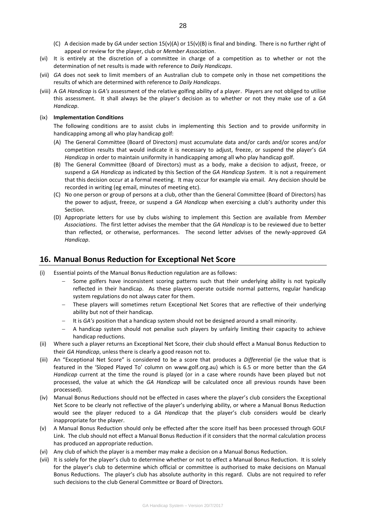- (C) A decision made by *GA* under section 15(v)(A) or 15(v)(B) is final and binding. There is no further right of appeal or review for the player, club or *Member Association*.
- (vi) It is entirely at the discretion of a committee in charge of a competition as to whether or not the determination of net results is made with reference to *Daily Handicaps*.
- (vii) *GA* does not seek to limit members of an Australian club to compete only in those net competitions the results of which are determined with reference to *Daily Handicaps*.
- (viii) A *GA Handicap* is *GA's* assessment of the relative golfing ability of a player. Players are not obliged to utilise this assessment. It shall always be the player's decision as to whether or not they make use of a *GA Handicap*.

# (ix) **Implementation Conditions**

The following conditions are to assist clubs in implementing this Section and to provide uniformity in handicapping among all who play handicap golf:

- (A) The General Committee (Board of Directors) must accumulate data and/or cards and/or scores and/or competition results that would indicate it is necessary to adjust, freeze, or suspend the player's *GA Handicap* in order to maintain uniformity in handicapping among all who play handicap golf.
- (B) The General Committee (Board of Directors) must as a body, make a decision to adjust, freeze, or suspend a *GA Handicap* as indicated by this Section of the *GA Handicap System*. It is not a requirement that this decision occur at a formal meeting. It may occur for example via email. Any decision should be recorded in writing (eg email, minutes of meeting etc).
- (C) No one person or group of persons at a club, other than the General Committee (Board of Directors) has the power to adjust, freeze, or suspend a *GA Handicap* when exercising a club's authority under this Section.
- (D) Appropriate letters for use by clubs wishing to implement this Section are available from *Member Associations*. The first letter advises the member that the *GA Handicap* is to be reviewed due to better than reflected, or otherwise, performances. The second letter advises of the newly-approved *GA Handicap*.

# **16. Manual Bonus Reduction for Exceptional Net Score**

- (i) Essential points of the Manual Bonus Reduction regulation are as follows:
	- Some golfers have inconsistent scoring patterns such that their underlying ability is not typically reflected in their handicap. As these players operate outside normal patterns, regular handicap system regulations do not always cater for them.
	- These players will sometimes return Exceptional Net Scores that are reflective of their underlying ability but not of their handicap.
	- It is *GA's* position that a handicap system should not be designed around a small minority.
	- A handicap system should not penalise such players by unfairly limiting their capacity to achieve handicap reductions.
- (ii) Where such a player returns an Exceptional Net Score, their club should effect a Manual Bonus Reduction to their *GA Handicap*, unless there is clearly a good reason not to.
- (iii) An "Exceptional Net Score" is considered to be a score that produces a *Differential* (ie the value that is featured in the 'Sloped Played To' column on www.golf.org.au) which is 6.5 or more better than the *GA Handicap* current at the time the round is played (or in a case where rounds have been played but not processed, the value at which the *GA Handicap* will be calculated once all previous rounds have been processed).
- (iv) Manual Bonus Reductions should not be effected in cases where the player's club considers the Exceptional Net Score to be clearly not reflective of the player's underlying ability, or where a Manual Bonus Reduction would see the player reduced to a *GA Handicap* that the player's club considers would be clearly inappropriate for the player.
- (v) A Manual Bonus Reduction should only be effected after the score itself has been processed through GOLF Link. The club should not effect a Manual Bonus Reduction if it considers that the normal calculation process has produced an appropriate reduction.
- (vi) Any club of which the player is a member may make a decision on a Manual Bonus Reduction.
- (vii) It is solely for the player's club to determine whether or not to effect a Manual Bonus Reduction. It is solely for the player's club to determine which official or committee is authorised to make decisions on Manual Bonus Reductions. The player's club has absolute authority in this regard. Clubs are not required to refer such decisions to the club General Committee or Board of Directors.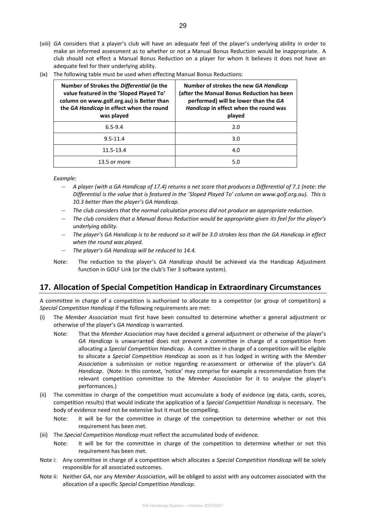(viii) *GA* considers that a player's club will have an adequate feel of the player's underlying ability in order to make an informed assessment as to whether or not a Manual Bonus Reduction would be inappropriate. A club should not effect a Manual Bonus Reduction on a player for whom it believes it does not have an adequate feel for their underlying ability.

|  | (ix) The following table must be used when effecting Manual Bonus Reductions: |  |  |  |
|--|-------------------------------------------------------------------------------|--|--|--|
|--|-------------------------------------------------------------------------------|--|--|--|

| Number of Strokes the Differential (ie the<br>value featured in the 'Sloped Played To'<br>column on www.golf.org.au) is Better than<br>the GA Handicap in effect when the round<br>was played | Number of strokes the new GA Handicap<br>(after the Manual Bonus Reduction has been<br>performed) will be lower than the GA<br>Handicap in effect when the round was<br>played |
|-----------------------------------------------------------------------------------------------------------------------------------------------------------------------------------------------|--------------------------------------------------------------------------------------------------------------------------------------------------------------------------------|
| $6.5 - 9.4$                                                                                                                                                                                   | 2.0                                                                                                                                                                            |
| $9.5 - 11.4$                                                                                                                                                                                  | 3.0                                                                                                                                                                            |
| 11.5-13.4                                                                                                                                                                                     | 4.0                                                                                                                                                                            |
| 13.5 or more                                                                                                                                                                                  | 5.0                                                                                                                                                                            |

*Example:*

- *A player (with a GA Handicap of 17.4) returns a net score that produces a Differential of 7.1 (note: the Differential is the value that is featured in the 'Sloped Played To' column on www.golf.org.au). This is 10.3 better than the player's GA Handicap.*
- *The club considers that the normal calculation process did not produce an appropriate reduction.*
- *The club considers that a Manual Bonus Reduction would be appropriate given its feel for the player's underlying ability.*
- *The player's GA Handicap is to be reduced so it will be 3.0 strokes less than the GA Handicap in effect when the round was played.*
- *The player's GA Handicap will be reduced to 14.4.*
- Note: The reduction to the player's *GA Handicap* should be achieved via the Handicap Adjustment function in GOLF Link (or the club's Tier 3 software system).

# **17. Allocation of Special Competition Handicap in Extraordinary Circumstances**

A committee in charge of a competition is authorised to allocate to a competitor (or group of competitors) a *Special Competition Handicap* if the following requirements are met:

- (i) The *Member Association* must first have been consulted to determine whether a general adjustment or otherwise of the player's *GA Handicap* is warranted.
	- Note: That the *Member Association* may have decided a general adjustment or otherwise of the player's *GA Handicap* is unwarranted does not prevent a committee in charge of a competition from allocating a *Special Competition Handicap*. A committee in charge of a competition will be eligible to allocate a *Special Competition Handicap* as soon as it has lodged in writing with the *Member Association* a submission or notice regarding re-assessment or otherwise of the player's *GA Handicap*. (Note: In this context, 'notice' may comprise for example a recommendation from the relevant competition committee to the *Member Association* for it to analyse the player's performances.)
- (ii) The committee in charge of the competition must accumulate a body of evidence (eg data, cards, scores, competition results) that would indicate the application of a *Special Competition Handicap* is necessary. The body of evidence need not be extensive but it must be compelling.
	- Note: It will be for the committee in charge of the competition to determine whether or not this requirement has been met.
- (iii) The *Special Competition Handicap* must reflect the accumulated body of evidence.
	- Note: It will be for the committee in charge of the competition to determine whether or not this requirement has been met.
- Note i: Any committee in charge of a competition which allocates a *Special Competition Handicap* will be solely responsible for all associated outcomes.
- Note ii: Neither *GA*, nor any *Member Association*, will be obliged to assist with any outcomes associated with the allocation of a specific *Special Competition Handicap*.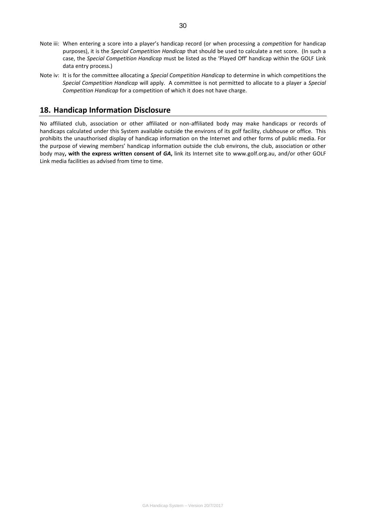- Note iii: When entering a score into a player's handicap record (or when processing a *competition* for handicap purposes), it is the *Special Competition Handicap* that should be used to calculate a net score. (In such a case, the *Special Competition Handicap* must be listed as the 'Played Off' handicap within the GOLF Link data entry process.)
- Note iv: It is for the committee allocating a *Special Competition Handicap* to determine in which competitions the *Special Competition Handicap* will apply. A committee is not permitted to allocate to a player a *Special Competition Handicap* for a competition of which it does not have charge.

# **18. Handicap Information Disclosure**

No affiliated club, association or other affiliated or non-affiliated body may make handicaps or records of handicaps calculated under this System available outside the environs of its golf facility, clubhouse or office. This prohibits the unauthorised display of handicap information on the Internet and other forms of public media. For the purpose of viewing members' handicap information outside the club environs, the club, association or other body may**, with the express written consent of** *GA***,** link its Internet site to [www.golf.org.au,](www.golf.org.au) and/or other GOLF Link media facilities as advised from time to time.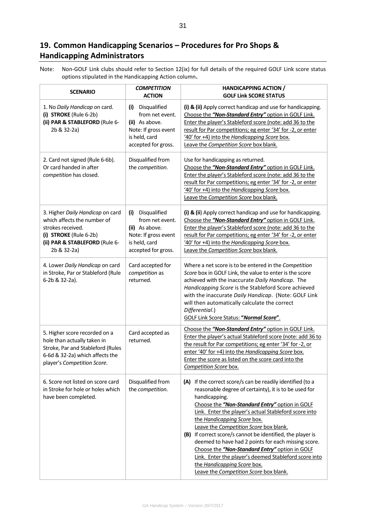# **19. Common Handicapping Scenarios – Procedures for Pro Shops & Handicapping Administrators**

Note: Non-GOLF Link clubs should refer to Section 12(ix) for full details of the required GOLF Link score status options stipulated in the Handicapping Action column**.**

| <b>SCENARIO</b>                                                                                                                                                     | <b>COMPETITION</b><br><b>ACTION</b>                                                                                      | <b>HANDICAPPING ACTION /</b><br><b>GOLF Link SCORE STATUS</b>                                                                                                                                                                                                                                                                                                                                                                                                                                                                                                                                                                        |
|---------------------------------------------------------------------------------------------------------------------------------------------------------------------|--------------------------------------------------------------------------------------------------------------------------|--------------------------------------------------------------------------------------------------------------------------------------------------------------------------------------------------------------------------------------------------------------------------------------------------------------------------------------------------------------------------------------------------------------------------------------------------------------------------------------------------------------------------------------------------------------------------------------------------------------------------------------|
| 1. No Daily Handicap on card.<br>(i) STROKE (Rule 6-2b)<br>(ii) PAR & STABLEFORD (Rule 6-<br>2b & 32-2a)                                                            | Disqualified<br>(i)<br>from net event.<br>(ii) As above.<br>Note: If gross event<br>is held, card<br>accepted for gross. | (i) & (ii) Apply correct handicap and use for handicapping.<br>Choose the "Non-Standard Entry" option in GOLF Link.<br>Enter the player's Stableford score (note: add 36 to the<br>result for Par competitions; eg enter '34' for -2, or enter<br>'40' for +4) into the Handicapping Score box.<br>Leave the Competition Score box blank.                                                                                                                                                                                                                                                                                            |
| 2. Card not signed (Rule 6-6b).<br>Or card handed in after<br>competition has closed.                                                                               | Disqualified from<br>the competition.                                                                                    | Use for handicapping as returned.<br>Choose the "Non-Standard Entry" option in GOLF Link.<br>Enter the player's Stableford score (note: add 36 to the<br>result for Par competitions; eg enter '34' for -2, or enter<br>'40' for +4) into the Handicapping Score box.<br>Leave the Competition Score box blank.                                                                                                                                                                                                                                                                                                                      |
| 3. Higher Daily Handicap on card<br>which affects the number of<br>strokes received.<br>(i) STROKE (Rule 6-2b)<br>(ii) PAR & STABLEFORD (Rule 6-<br>2b & 32-2a)     | Disqualified<br>(i)<br>from net event.<br>(ii) As above.<br>Note: If gross event<br>is held, card<br>accepted for gross. | (i) & (ii) Apply correct handicap and use for handicapping.<br>Choose the "Non-Standard Entry" option in GOLF Link.<br>Enter the player's Stableford score (note: add 36 to the<br>result for Par competitions; eg enter '34' for -2, or enter<br>'40' for +4) into the Handicapping Score box.<br>Leave the Competition Score box blank.                                                                                                                                                                                                                                                                                            |
| 4. Lower Daily Handicap on card<br>in Stroke, Par or Stableford (Rule<br>6-2b & 32-2a).                                                                             | Card accepted for<br>competition as<br>returned.                                                                         | Where a net score is to be entered in the Competition<br>Score box in GOLF Link, the value to enter is the score<br>achieved with the inaccurate Daily Handicap. The<br>Handicapping Score is the Stableford Score achieved<br>with the inaccurate Daily Handicap. (Note: GOLF Link<br>will then automatically calculate the correct<br>Differential.)<br><b>GOLF Link Score Status: "Normal Score".</b>                                                                                                                                                                                                                             |
| 5. Higher score recorded on a<br>hole than actually taken in<br>Stroke, Par and Stableford (Rules<br>6-6d & 32-2a) which affects the<br>player's Competition Score. | Card accepted as<br>returned.                                                                                            | Choose the "Non-Standard Entry" option in GOLF Link.<br>Enter the player's actual Stableford score (note: add 36 to<br>the result for Par competitions; eg enter '34' for -2, or<br>enter '40' for +4) into the Handicapping Score box.<br><b>Enter the score as listed on the score card into the</b><br>Competition Score box.                                                                                                                                                                                                                                                                                                     |
| 6. Score not listed on score card<br>in Stroke for hole or holes which<br>have been completed.                                                                      | Disqualified from<br>the competition.                                                                                    | If the correct score/s can be readily identified (to a<br>(A)<br>reasonable degree of certainty), it is to be used for<br>handicapping.<br>Choose the "Non-Standard Entry" option in GOLF<br>Link. Enter the player's actual Stableford score into<br>the Handicapping Score box.<br>Leave the Competition Score box blank.<br>(B) If correct score/s cannot be identified, the player is<br>deemed to have had 2 points for each missing score.<br>Choose the "Non-Standard Entry" option in GOLF<br>Link. Enter the player's deemed Stableford score into<br>the Handicapping Score box.<br>Leave the Competition Score box blank. |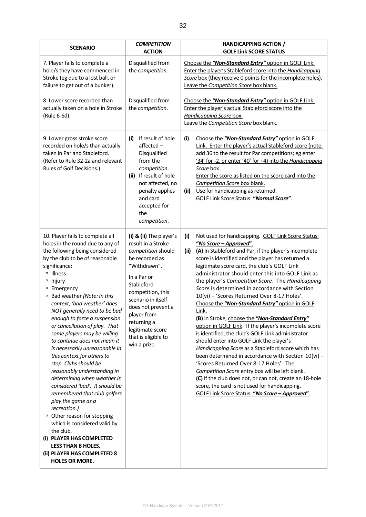| <b>SCENARIO</b>                                                                                                                                                                                                                                                                                                                                                                                                                                                                                                                                                                                                                                                                                                                                                                                                                                                                                                           | <b>COMPETITION</b><br><b>ACTION</b>                                                                                                                                                                                                                                                          | <b>HANDICAPPING ACTION /</b><br><b>GOLF Link SCORE STATUS</b>                                                                                                                                                                                                                                                                                                                                                                                                                                                                                                                                                                                                                                                                                                                                                                                                                                                                                                                                                                                                                                                     |
|---------------------------------------------------------------------------------------------------------------------------------------------------------------------------------------------------------------------------------------------------------------------------------------------------------------------------------------------------------------------------------------------------------------------------------------------------------------------------------------------------------------------------------------------------------------------------------------------------------------------------------------------------------------------------------------------------------------------------------------------------------------------------------------------------------------------------------------------------------------------------------------------------------------------------|----------------------------------------------------------------------------------------------------------------------------------------------------------------------------------------------------------------------------------------------------------------------------------------------|-------------------------------------------------------------------------------------------------------------------------------------------------------------------------------------------------------------------------------------------------------------------------------------------------------------------------------------------------------------------------------------------------------------------------------------------------------------------------------------------------------------------------------------------------------------------------------------------------------------------------------------------------------------------------------------------------------------------------------------------------------------------------------------------------------------------------------------------------------------------------------------------------------------------------------------------------------------------------------------------------------------------------------------------------------------------------------------------------------------------|
| 7. Player fails to complete a<br>hole/s they have commenced in<br>Stroke (eg due to a lost ball, or<br>failure to get out of a bunker).                                                                                                                                                                                                                                                                                                                                                                                                                                                                                                                                                                                                                                                                                                                                                                                   | Disqualified from<br>the competition.                                                                                                                                                                                                                                                        | Choose the "Non-Standard Entry" option in GOLF Link.<br>Enter the player's Stableford score into the Handicapping<br>Score box (they receive 0 points for the incomplete holes).<br>Leave the Competition Score box blank.                                                                                                                                                                                                                                                                                                                                                                                                                                                                                                                                                                                                                                                                                                                                                                                                                                                                                        |
| 8. Lower score recorded than<br>actually taken on a hole in Stroke<br>(Rule 6-6d).                                                                                                                                                                                                                                                                                                                                                                                                                                                                                                                                                                                                                                                                                                                                                                                                                                        | Disqualified from<br>the competition.                                                                                                                                                                                                                                                        | Choose the "Non-Standard Entry" option in GOLF Link.<br>Enter the player's actual Stableford score into the<br>Handicapping Score box.<br>Leave the Competition Score box blank.                                                                                                                                                                                                                                                                                                                                                                                                                                                                                                                                                                                                                                                                                                                                                                                                                                                                                                                                  |
| 9. Lower gross stroke score<br>recorded on hole/s than actually<br>taken in Par and Stableford.<br>(Refer to Rule 32-2a and relevant<br>Rules of Golf Decisions.)                                                                                                                                                                                                                                                                                                                                                                                                                                                                                                                                                                                                                                                                                                                                                         | If result of hole<br>(i)<br>affected-<br>Disqualified<br>from the<br>competition.<br>If result of hole<br>(ii)<br>not affected, no<br>penalty applies<br>and card<br>accepted for<br>the<br>competition.                                                                                     | (i)<br>Choose the "Non-Standard Entry" option in GOLF<br>Link. Enter the player's actual Stableford score (note:<br>add 36 to the result for Par competitions; eg enter<br>'34' for -2, or enter '40' for +4) into the Handicapping<br>Score box.<br>Enter the score as listed on the score card into the<br>Competition Score box blank.<br>Use for handicapping as returned.<br>(ii)<br>GOLF Link Score Status: "Normal Score".                                                                                                                                                                                                                                                                                                                                                                                                                                                                                                                                                                                                                                                                                 |
| 10. Player fails to complete all<br>holes in the round due to any of<br>the following being considered<br>by the club to be of reasonable<br>significance:<br>Illness<br>$\Box$<br>Injury<br>$\Box$<br>Emergency<br>α<br>Bad weather (Note: In this<br>context, 'bad weather' does<br>NOT generally need to be bad<br>enough to force a suspension<br>or cancellation of play. That<br>some players may be willing<br>to continue does not mean it<br>is necessarily unreasonable in<br>this context for others to<br>stop. Clubs should be<br>reasonably understanding in<br>determining when weather is<br>considered 'bad'. It should be<br>remembered that club golfers<br>play the game as a<br>recreation.)<br><sup>□</sup> Other reason for stopping<br>which is considered valid by<br>the club.<br>(i) PLAYER HAS COMPLETED<br><b>LESS THAN 8 HOLES.</b><br>(ii) PLAYER HAS COMPLETED 8<br><b>HOLES OR MORE.</b> | (i) & (ii) The player's<br>result in a Stroke<br>competition should<br>be recorded as<br>"Withdrawn".<br>In a Par or<br>Stableford<br>competition, this<br>scenario in itself<br>does not prevent a<br>player from<br>returning a<br>legitimate score<br>that is eligible to<br>win a prize. | Not used for handicapping. GOLF Link Score Status:<br>(i)<br>"No Score - Approved".<br>(A) In Stableford and Par, if the player's incomplete<br>(ii)<br>score is identified and the player has returned a<br>legitimate score card, the club's GOLF Link<br>administrator should enter this into GOLF Link as<br>the player's Competition Score. The Handicapping<br>Score is determined in accordance with Section<br>10(vi) - 'Scores Returned Over 8-17 Holes'.<br>Choose the "Non-Standard Entry" option in GOLF<br>Link.<br>(B) In Stroke, choose the "Non-Standard Entry"<br>option in GOLF Link. If the player's incomplete score<br>is identified, the club's GOLF Link administrator<br>should enter into GOLF Link the player's<br>Handicapping Score as a Stableford score which has<br>been determined in accordance with Section 10(vi) -<br>'Scores Returned Over 8-17 Holes'. The<br>Competition Score entry box will be left blank.<br>(C) If the club does not, or can not, create an 18-hole<br>score, the card is not used for handicapping.<br>GOLF Link Score Status: "No Score - Approved". |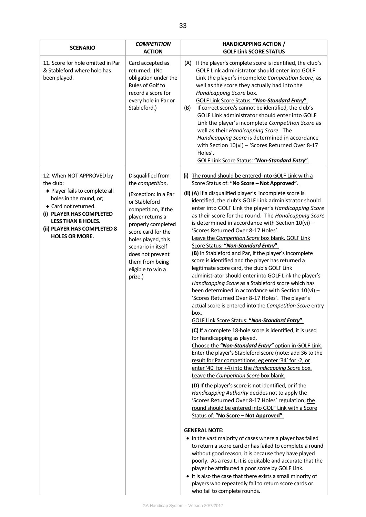| <b>SCENARIO</b>                                                                                                                                                                                                                             | <b>COMPETITION</b><br><b>ACTION</b>                                                                                                                                                                                                                                                      | <b>HANDICAPPING ACTION /</b><br><b>GOLF Link SCORE STATUS</b>                                                                                                                                                                                                                                                                                                                                                                                                                                                                                                                                                                                                                                                                                                                                                                                                                                                                                                                                                                                                                                                                                                                                                                                                                                                                                                                                                                                                                                                                                                                                                                                                                                                                                                                                                                                                                                                                                                                                                                                                                                                                            |
|---------------------------------------------------------------------------------------------------------------------------------------------------------------------------------------------------------------------------------------------|------------------------------------------------------------------------------------------------------------------------------------------------------------------------------------------------------------------------------------------------------------------------------------------|------------------------------------------------------------------------------------------------------------------------------------------------------------------------------------------------------------------------------------------------------------------------------------------------------------------------------------------------------------------------------------------------------------------------------------------------------------------------------------------------------------------------------------------------------------------------------------------------------------------------------------------------------------------------------------------------------------------------------------------------------------------------------------------------------------------------------------------------------------------------------------------------------------------------------------------------------------------------------------------------------------------------------------------------------------------------------------------------------------------------------------------------------------------------------------------------------------------------------------------------------------------------------------------------------------------------------------------------------------------------------------------------------------------------------------------------------------------------------------------------------------------------------------------------------------------------------------------------------------------------------------------------------------------------------------------------------------------------------------------------------------------------------------------------------------------------------------------------------------------------------------------------------------------------------------------------------------------------------------------------------------------------------------------------------------------------------------------------------------------------------------------|
| 11. Score for hole omitted in Par<br>& Stableford where hole has<br>been played.                                                                                                                                                            | Card accepted as<br>returned. (No<br>obligation under the<br>Rules of Golf to<br>record a score for<br>every hole in Par or<br>Stableford.)                                                                                                                                              | If the player's complete score is identified, the club's<br>(A)<br>GOLF Link administrator should enter into GOLF<br>Link the player's incomplete Competition Score, as<br>well as the score they actually had into the<br>Handicapping Score box.<br>GOLF Link Score Status: "Non-Standard Entry".<br>If correct score/s cannot be identified, the club's<br>(B)<br>GOLF Link administrator should enter into GOLF<br>Link the player's incomplete Competition Score as<br>well as their Handicapping Score. The<br>Handicapping Score is determined in accordance<br>with Section 10(vi) - 'Scores Returned Over 8-17<br>Holes'.<br>GOLF Link Score Status: "Non-Standard Entry".                                                                                                                                                                                                                                                                                                                                                                                                                                                                                                                                                                                                                                                                                                                                                                                                                                                                                                                                                                                                                                                                                                                                                                                                                                                                                                                                                                                                                                                      |
| 12. When NOT APPROVED by<br>the club:<br>◆ Player fails to complete all<br>holes in the round, or;<br>◆ Card not returned.<br>(i) PLAYER HAS COMPLETED<br><b>LESS THAN 8 HOLES.</b><br>(ii) PLAYER HAS COMPLETED 8<br><b>HOLES OR MORE.</b> | Disqualified from<br>the competition.<br>(Exception: In a Par<br>or Stableford<br>competition, if the<br>player returns a<br>properly completed<br>score card for the<br>holes played, this<br>scenario in itself<br>does not prevent<br>them from being<br>eligible to win a<br>prize.) | (i) The round should be entered into GOLF Link with a<br>Score Status of: "No Score - Not Approved".<br>(ii) (A) If a disqualified player's incomplete score is<br>identified, the club's GOLF Link administrator should<br>enter into GOLF Link the player's Handicapping Score<br>as their score for the round. The Handicapping Score<br>is determined in accordance with Section $10(vi)$ -<br>'Scores Returned Over 8-17 Holes'.<br>Leave the Competition Score box blank. GOLF Link<br>Score Status: "Non-Standard Entry".<br>(B) In Stableford and Par, if the player's incomplete<br>score is identified and the player has returned a<br>legitimate score card, the club's GOLF Link<br>administrator should enter into GOLF Link the player's<br>Handicapping Score as a Stableford score which has<br>been determined in accordance with Section 10(vi) -<br>'Scores Returned Over 8-17 Holes'. The player's<br>actual score is entered into the Competition Score entry<br>box.<br>GOLF Link Score Status: "Non-Standard Entry".<br>(C) If a complete 18-hole score is identified, it is used<br>for handicapping as played.<br>Choose the "Non-Standard Entry" option in GOLF Link.<br>Enter the player's Stableford score (note: add 36 to the<br>result for Par competitions; eg enter '34' for -2, or<br>enter '40' for +4) into the Handicapping Score box.<br>Leave the Competition Score box blank.<br>(D) If the player's score is not identified, or if the<br>Handicapping Authority decides not to apply the<br>'Scores Returned Over 8-17 Holes' regulation; the<br>round should be entered into GOLF Link with a Score<br>Status of: "No Score - Not Approved".<br><b>GENERAL NOTE:</b><br>• In the vast majority of cases where a player has failed<br>to return a score card or has failed to complete a round<br>without good reason, it is because they have played<br>poorly. As a result, it is equitable and accurate that the<br>player be attributed a poor score by GOLF Link.<br>• It is also the case that there exists a small minority of<br>players who repeatedly fail to return score cards or |